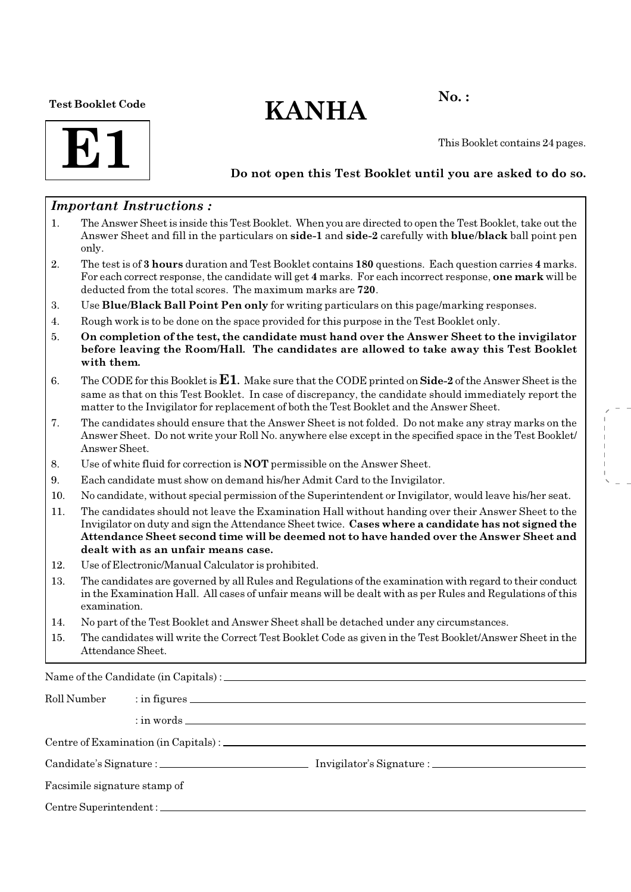Test Booklet Code

# $KANHA$ <sup>No.:</sup>

**E1** 

This Booklet contains 24 pages.

### Do not open this Test Booklet until you are asked to do so.

### Important Instructions :

- 1. The Answer Sheet is inside this Test Booklet. When you are directed to open the Test Booklet, take out the Answer Sheet and fill in the particulars on side-1 and side-2 carefully with blue/black ball point pen only.
- 2. The test is of 3 hours duration and Test Booklet contains 180 questions. Each question carries 4 marks. For each correct response, the candidate will get 4 marks. For each incorrect response, one mark will be deducted from the total scores. The maximum marks are 720.
- 3. Use Blue/Black Ball Point Pen only for writing particulars on this page/marking responses.
- 4. Rough work is to be done on the space provided for this purpose in the Test Booklet only.
- 5. On completion of the test, the candidate must hand over the Answer Sheet to the invigilator before leaving the Room/Hall. The candidates are allowed to take away this Test Booklet with them.
- 6. The CODE for this Booklet is  $E1$ . Make sure that the CODE printed on Side-2 of the Answer Sheet is the same as that on this Test Booklet. In case of discrepancy, the candidate should immediately report the matter to the Invigilator for replacement of both the Test Booklet and the Answer Sheet.
- 7. The candidates should ensure that the Answer Sheet is not folded. Do not make any stray marks on the Answer Sheet. Do not write your Roll No. anywhere else except in the specified space in the Test Booklet/ Answer Sheet.
- 8. Use of white fluid for correction is NOT permissible on the Answer Sheet.
- 9. Each candidate must show on demand his/her Admit Card to the Invigilator.
- 10. No candidate, without special permission of the Superintendent or Invigilator, would leave his/her seat.
- 11. The candidates should not leave the Examination Hall without handing over their Answer Sheet to the Invigilator on duty and sign the Attendance Sheet twice. Cases where a candidate has not signed the Attendance Sheet second time will be deemed not to have handed over the Answer Sheet and dealt with as an unfair means case.
- 12. Use of Electronic/Manual Calculator is prohibited.
- 13. The candidates are governed by all Rules and Regulations of the examination with regard to their conduct in the Examination Hall. All cases of unfair means will be dealt with as per Rules and Regulations of this examination.
- 14. No part of the Test Booklet and Answer Sheet shall be detached under any circumstances.
- 15. The candidates will write the Correct Test Booklet Code as given in the Test Booklet/Answer Sheet in the Attendance Sheet.

Name of the Candidate (in Capitals) :

| Roll Number                  |  |  |  |
|------------------------------|--|--|--|
|                              |  |  |  |
|                              |  |  |  |
|                              |  |  |  |
| Facsimile signature stamp of |  |  |  |
|                              |  |  |  |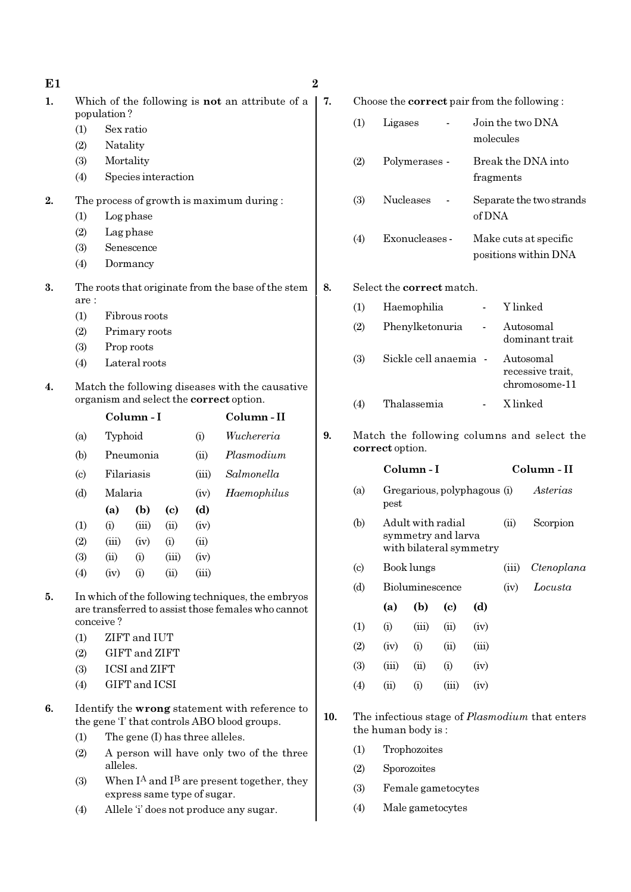| E1 | $\overline{2}$ |
|----|----------------|

- 1. Which of the following is **not** an attribute of a  $\vert 7$ . population ?
	- (1) Sex ratio
	- (2) Natality
	- (3) Mortality
	- (4) Species interaction
- 2. The process of growth is maximum during :
	- (1) Log phase
	- (2) Lag phase
	- (3) Senescence
	- (4) Dormancy
- 3. The roots that originate from the base of the stem are :
	- (1) Fibrous roots
	- (2) Primary roots
	- (3) Prop roots
	- (4) Lateral roots
- 4. Match the following diseases with the causative organism and select the correct option.

|                           |         | Column-I   |                |       | Column - II |
|---------------------------|---------|------------|----------------|-------|-------------|
| (a)                       |         | Typhoid    |                |       | Wuchereria  |
| (b)                       |         | Pneumonia  |                |       | Plasmodium  |
| $\left( \text{c} \right)$ |         | Filariasis |                |       | Salmonella  |
| (d)                       | Malaria |            |                | (iv)  | Haemophilus |
|                           | (a)     | (b)        | (c)            | (d)   |             |
| (1)                       | (i)     | (iii)      | (ii)           | (iv)  |             |
| (2)                       | (iii)   | (iv)       | (i)            | (ii)  |             |
| (3)                       | (ii)    | (i)        | (iii)          | (iv)  |             |
| (4)                       | (iv)    | (i)        | $\overline{u}$ | (iii) |             |
|                           |         |            |                |       |             |

- 5. In which of the following techniques, the embryos are transferred to assist those females who cannot conceive ?
	- (1) ZIFT and IUT
	- (2) GIFT and ZIFT
	- (3) ICSI and ZIFT
	- (4) GIFT and ICSI
- 6. Identify the wrong statement with reference to the gene 'I' that controls ABO blood groups.
	- (1) The gene (I) has three alleles.
	- (2) A person will have only two of the three alleles.
	- (3) When  $I^A$  and  $I^B$  are present together, they express same type of sugar.
	- (4) Allele 'i' does not produce any sugar.

Choose the **correct** pair from the following :

| (1) | Ligases          | Join the two DNA<br>molecules                 |
|-----|------------------|-----------------------------------------------|
| (2) | Polymerases -    | Break the DNA into<br>fragments               |
| (3) | <b>Nucleases</b> | Separate the two strands<br>of DNA            |
| (4) | Exonucleases -   | Make cuts at specific<br>positions within DNA |

### 8. Select the correct match.

| (1) | Haemophilia           | Y linked                                       |
|-----|-----------------------|------------------------------------------------|
| (2) | Phenylketonuria       | Autosomal<br>dominant trait                    |
| (3) | Sickle cell anaemia - | Autosomal<br>recessive trait,<br>chromosome-11 |
| (4) | Thalassemia           | X linked                                       |

9. Match the following columns and select the correct option.

|                             |       | Column - I                                                         |                             |       | Column - II |            |
|-----------------------------|-------|--------------------------------------------------------------------|-----------------------------|-------|-------------|------------|
| (a)                         | pest  | Gregarious, polyphagous (i)                                        |                             |       | Asterias    |            |
| (b)                         |       | Adult with radial<br>symmetry and larva<br>with bilateral symmetry |                             | (ii)  | Scorpion    |            |
| $\left( \mathrm{c} \right)$ |       | Book lungs                                                         |                             |       | (iii)       | Ctenoplana |
| (d)                         |       | Bioluminescence                                                    |                             |       | (iv)        | Locusta    |
|                             | (a)   | (b)                                                                | $\left( \mathrm{c} \right)$ | (d)   |             |            |
| (1)                         | (i)   | (iii)                                                              | (ii)                        | (iv)  |             |            |
| (2)                         | (iv)  | (i)                                                                | (ii)                        | (iii) |             |            |
| (3)                         | (iii) | (ii)                                                               | (i)                         | (iv)  |             |            |
| (4)                         | (ii)  | (i)                                                                | (iii)                       | (iv)  |             |            |
|                             |       |                                                                    |                             |       |             |            |

10. The infectious stage of *Plasmodium* that enters the human body is :

- (1) Trophozoites
- (2) Sporozoites
- (3) Female gametocytes
- (4) Male gametocytes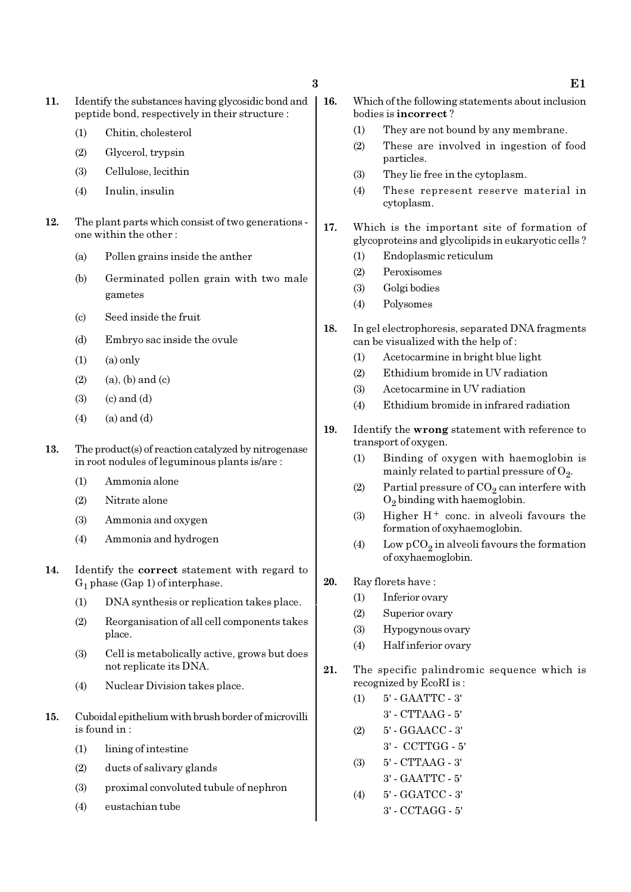- 11. Identify the substances having glycosidic bond and peptide bond, respectively in their structure :
	- (1) Chitin, cholesterol
	- (2) Glycerol, trypsin
	- (3) Cellulose, lecithin
	- (4) Inulin, insulin
- 12. The plant parts which consist of two generations one within the other :
	- (a) Pollen grains inside the anther
	- (b) Germinated pollen grain with two male gametes
	- (c) Seed inside the fruit
	- (d) Embryo sac inside the ovule
	- $(1)$   $(a)$  only
	- $(2)$  (a), (b) and (c)
	- $(3)$   $(c)$  and  $(d)$
	- $(4)$   $(a)$  and  $(d)$
- 13. The product(s) of reaction catalyzed by nitrogenase in root nodules of leguminous plants is/are :
	- (1) Ammonia alone
	- (2) Nitrate alone
	- (3) Ammonia and oxygen
	- (4) Ammonia and hydrogen
- 14. Identify the correct statement with regard to  $G_1$  phase (Gap 1) of interphase.
	- (1) DNA synthesis or replication takes place.
	- (2) Reorganisation of all cell components takes place.
	- (3) Cell is metabolically active, grows but does not replicate its DNA.
	- (4) Nuclear Division takes place.
- 15. Cuboidal epithelium with brush border of microvilli is found in :
	- (1) lining of intestine
	- (2) ducts of salivary glands
	- (3) proximal convoluted tubule of nephron
	- (4) eustachian tube
- 16. Which of the following statements about inclusion bodies is incorrect ?
	- (1) They are not bound by any membrane.
	- (2) These are involved in ingestion of food particles.
	- (3) They lie free in the cytoplasm.
	- (4) These represent reserve material in cytoplasm.
- 17. Which is the important site of formation of glycoproteins and glycolipids in eukaryotic cells ?
	- (1) Endoplasmic reticulum
	- (2) Peroxisomes
	- (3) Golgi bodies
	- (4) Polysomes
- 18. In gel electrophoresis, separated DNA fragments can be visualized with the help of :
	- (1) Acetocarmine in bright blue light
	- (2) Ethidium bromide in UV radiation
	- (3) Acetocarmine in UV radiation
	- (4) Ethidium bromide in infrared radiation
- 19. Identify the wrong statement with reference to transport of oxygen.
	- (1) Binding of oxygen with haemoglobin is mainly related to partial pressure of  $\mathrm{O}_2$ .
	- (2) Partial pressure of  $\mathrm{CO}_2$  can interfere with  $O_2$  binding with haemoglobin.
	- (3) Higher  $H^+$  conc. in alveoli favours the formation of oxyhaemoglobin.
	- (4) Low  $pCO_2$  in alveoli favours the formation of oxyhaemoglobin.
- 20. Ray florets have :
	- (1) Inferior ovary
	- (2) Superior ovary
	- (3) Hypogynous ovary
	- (4) Half inferior ovary
- 21. The specific palindromic sequence which is recognized by EcoRI is :
	- (1) 5' GAATTC 3' 3' - CTTAAG - 5' (2) 5' - GGAACC - 3' 3' - CCTTGG - 5' (3) 5' - CTTAAG - 3'
		- 3' GAATTC 5'
	- (4) 5' GGATCC 3' 3' - CCTAGG - 5'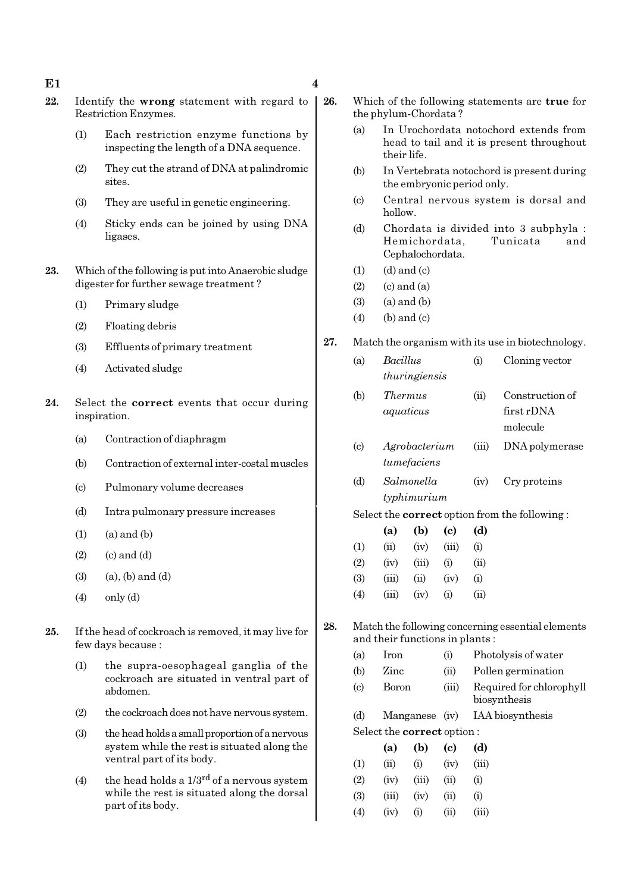### $E1$  4

- 22. Identify the wrong statement with regard to Restriction Enzymes.
	- (1) Each restriction enzyme functions by inspecting the length of a DNA sequence.
	- (2) They cut the strand of DNA at palindromic sites.
	- (3) They are useful in genetic engineering.
	- (4) Sticky ends can be joined by using DNA ligases.
- 23. Which of the following is put into Anaerobic sludge digester for further sewage treatment ?
	- (1) Primary sludge
	- (2) Floating debris
	- (3) Effluents of primary treatment
	- (4) Activated sludge
- 24. Select the correct events that occur during inspiration.
	- (a) Contraction of diaphragm
	- (b) Contraction of external inter-costal muscles
	- (c) Pulmonary volume decreases
	- (d) Intra pulmonary pressure increases
	- $(1)$   $(a)$  and  $(b)$
	- $(2)$   $(c)$  and  $(d)$
	- $(3)$   $(a)$ ,  $(b)$  and  $(d)$
	- $(4)$  only  $(d)$
- 25. If the head of cockroach is removed, it may live for few days because :
	- (1) the supra-oesophageal ganglia of the cockroach are situated in ventral part of abdomen.
	- (2) the cockroach does not have nervous system.
	- (3) the head holds a small proportion of a nervous system while the rest is situated along the ventral part of its body.
	- (4) the head holds a  $1/3^{rd}$  of a nervous system while the rest is situated along the dorsal part of its body.
- 26. Which of the following statements are true for the phylum-Chordata ?
	- (a) In Urochordata notochord extends from head to tail and it is present throughout their life.
	- (b) In Vertebrata notochord is present during the embryonic period only.
	- (c) Central nervous system is dorsal and hollow.
	- (d) Chordata is divided into 3 subphyla : Hemichordata, Tunicata and Cephalochordata.
	- $(1)$   $(d)$  and  $(c)$
	- $(2)$   $(c)$  and  $(a)$
	- $(3)$   $(a)$  and  $(b)$
	- $(4)$  (b) and  $(c)$
- 27. Match the organism with its use in biotechnology.

|     | (a)                         | Bacillus       |                                   |       | (i)   | Cloning vector                                       |
|-----|-----------------------------|----------------|-----------------------------------|-------|-------|------------------------------------------------------|
|     |                             | thuringiensis  |                                   |       |       |                                                      |
|     | (b)                         | <i>Thermus</i> |                                   |       | (ii)  | Construction of                                      |
|     |                             | aquaticus      |                                   |       |       | first rDNA                                           |
|     |                             |                |                                   |       |       | molecule                                             |
|     | $\left( \mathrm{c} \right)$ |                | Agrobacterium                     |       | (iii) | DNA polymerase                                       |
|     |                             |                | tumefaciens                       |       |       |                                                      |
|     | (d)                         |                | Salmonella                        |       | (iv)  | Cry proteins                                         |
|     |                             | typhimurium    |                                   |       |       |                                                      |
|     |                             |                |                                   |       |       | Select the <b>correct</b> option from the following: |
|     |                             | (a)            | (b)                               | (c)   | (d)   |                                                      |
|     | (1)                         | (ii)           | (iv)                              | (iii) | (i)   |                                                      |
|     | (2)                         | (iv)           | (iii)                             | (i)   | (ii)  |                                                      |
|     | (3)                         | (iii)          | (ii)                              | (iv)  | (i)   |                                                      |
|     | (4)                         | (iii)          | (iv)                              | (i)   | (ii)  |                                                      |
| 28. |                             |                |                                   |       |       | Match the following concerning essential elements    |
|     |                             |                | and their functions in plants:    |       |       |                                                      |
|     | (a)                         | Iron           |                                   | (i)   |       | Photolysis of water                                  |
|     | (b)                         | Zinc           |                                   | (ii)  |       | Pollen germination                                   |
|     | $\left( \mathrm{c} \right)$ | <b>Boron</b>   |                                   | (iii) |       | Required for chlorophyll<br>biosynthesis             |
|     | (d)                         |                | Manganese                         | (iv)  |       | IAA biosynthesis                                     |
|     |                             |                | Select the <b>correct</b> option: |       |       |                                                      |
|     |                             |                |                                   |       |       |                                                      |

|                   | (a)   | (b)               | (c)  | (d)      |
|-------------------|-------|-------------------|------|----------|
| (1)               | (ii)  | (i)               | (iv) | (iii)    |
| (2)               | (iv)  | (iii)             | (ii) | $\rm(i)$ |
| <b>(3)</b>        | (iii) | (iv)              | (ii) | (i)      |
| $\left( 4\right)$ | (iv)  | $\left( 1\right)$ | (ii) | (iii)    |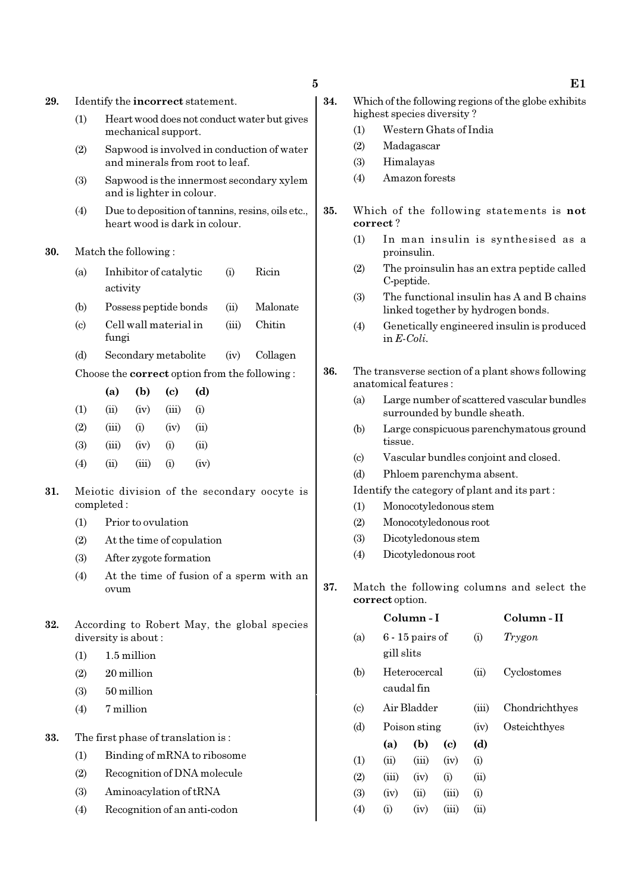29. Identify the incorrect statement.

- (1) Heart wood does not conduct water but gives mechanical support.
- (2) Sapwood is involved in conduction of water and minerals from root to leaf.
- (3) Sapwood is the innermost secondary xylem and is lighter in colour.
- (4) Due to deposition of tannins, resins, oils etc., heart wood is dark in colour.

### 30. Match the following :

- (a) Inhibitor of catalytic (i) Ricin activity
- (b) Possess peptide bonds (ii) Malonate
- (c) Cell wall material in (iii) Chitin fungi
- (d) Secondary metabolite (iv) Collagen
- Choose the correct option from the following :

|                   | (a)                        | (b)  | (c)               | (d)      |
|-------------------|----------------------------|------|-------------------|----------|
| (1)               | (ii)                       | (iv) | (iii)             | $\rm(i)$ |
| (2)               | (iii)                      | (i)  | (iv)              | (ii)     |
| (3)               | (iii)                      | (iv) | (i)               | (ii)     |
| $\left( 4\right)$ | $\left( \mathrm{u}\right)$ | (n)  | $\left( 1\right)$ | (iv)     |

- 31. Meiotic division of the secondary oocyte is completed :
	- (1) Prior to ovulation
	- (2) At the time of copulation
	- (3) After zygote formation
	- (4) At the time of fusion of a sperm with an ovum
- 32. According to Robert May, the global species diversity is about :
	- (1) 1.5 million
	- (2) 20 million
	- (3) 50 million
	- (4) 7 million
- 33. The first phase of translation is :
	- (1) Binding of mRNA to ribosome
	- (2) Recognition of DNA molecule
	- (3) Aminoacylation of tRNA
	- (4) Recognition of an anti-codon
- 34. Which of the following regions of the globe exhibits highest species diversity ?
	- (1) Western Ghats of India
	- (2) Madagascar
	- (3) Himalayas
	- (4) Amazon forests
- 35. Which of the following statements is not correct ?
	- (1) In man insulin is synthesised as a proinsulin.
	- (2) The proinsulin has an extra peptide called C-peptide.
	- (3) The functional insulin has A and B chains linked together by hydrogen bonds.
	- (4) Genetically engineered insulin is produced in E-Coli.
- 36. The transverse section of a plant shows following anatomical features :
	- (a) Large number of scattered vascular bundles surrounded by bundle sheath.
	- (b) Large conspicuous parenchymatous ground tissue.
	- (c) Vascular bundles conjoint and closed.
	- (d) Phloem parenchyma absent.

Identify the category of plant and its part :

- (1) Monocotyledonous stem
- (2) Monocotyledonous root
- (3) Dicotyledonous stem
- (4) Dicotyledonous root
- 37. Match the following columns and select the correct option.

|                             |       | Column - I                             | Column - II |      |                |
|-----------------------------|-------|----------------------------------------|-------------|------|----------------|
| (a)                         |       | $6 - 15$ pairs of<br>(i)<br>gill slits |             |      | Trygon         |
| (b)                         |       | Heterocercal<br>caudal fin             |             |      | Cyclostomes    |
| $\left( \mathrm{c} \right)$ |       | Air Bladder                            |             |      | Chondrichthyes |
| (d)                         |       | Poison sting                           |             |      | Osteichthyes   |
|                             | (a)   | (b)                                    | (c)         | (d)  |                |
| (1)                         | (ii)  | (iii)                                  | (iv)        | (i)  |                |
| (2)                         | (iii) | (iv)                                   | (i)         | (ii) |                |
| (3)                         | (iv)  | (ii)                                   | (iii)       | (i)  |                |
| $\left( 4\right)$           | (i)   | (iv)                                   | (iii)       | (ii) |                |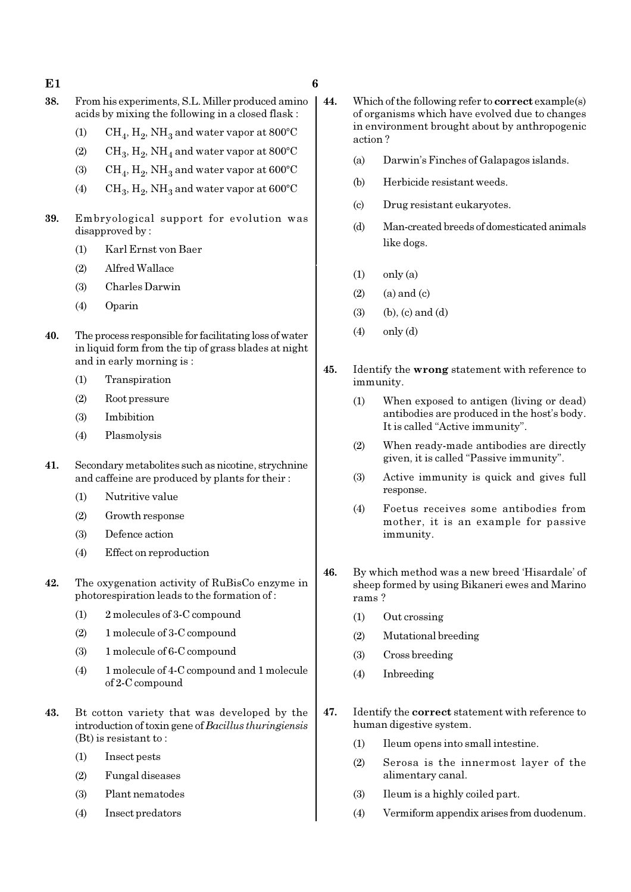- $E1$  6
- 
- 38. From his experiments, S.L. Miller produced amino acids by mixing the following in a closed flask :
	- (1)  $\mathrm{CH}_4, \mathrm{H}_2, \mathrm{NH}_3$  and water vapor at 800°C
	- (2)  $\mathrm{CH}_3, \mathrm{H}_2, \mathrm{NH}_4$  and water vapor at 800°C
	- (3)  $\mathrm{CH}_4, \mathrm{H}_2, \mathrm{NH}_3$  and water vapor at 600°C
	- (4) CH<sub>3</sub>, H<sub>2</sub>, NH<sub>3</sub> and water vapor at  $600^{\circ}$ C
- 39. Embryological support for evolution was disapproved by :
	- (1) Karl Ernst von Baer
	- (2) Alfred Wallace
	- (3) Charles Darwin
	- (4) Oparin
- 40. The process responsible for facilitating loss of water in liquid form from the tip of grass blades at night and in early morning is :
	- (1) Transpiration
	- (2) Root pressure
	- (3) Imbibition
	- (4) Plasmolysis
- 41. Secondary metabolites such as nicotine, strychnine and caffeine are produced by plants for their :
	- (1) Nutritive value
	- (2) Growth response
	- (3) Defence action
	- (4) Effect on reproduction
- 42. The oxygenation activity of RuBisCo enzyme in photorespiration leads to the formation of :
	- (1) 2 molecules of 3-C compound
	- (2) 1 molecule of 3-C compound
	- (3) 1 molecule of 6-C compound
	- (4) 1 molecule of 4-C compound and 1 molecule of 2-C compound
- 43. Bt cotton variety that was developed by the introduction of toxin gene of Bacillus thuringiensis (Bt) is resistant to :
	- (1) Insect pests
	- (2) Fungal diseases
	- (3) Plant nematodes
	- (4) Insect predators
- 44. Which of the following refer to correct example(s) of organisms which have evolved due to changes in environment brought about by anthropogenic action ?
	- (a) Darwin's Finches of Galapagos islands.
	- (b) Herbicide resistant weeds.
	- (c) Drug resistant eukaryotes.
	- (d) Man-created breeds of domesticated animals like dogs.
	- $(1)$  only  $(a)$
	- $(2)$   $(a)$  and  $(c)$
	- $(3)$  (b),  $(c)$  and  $(d)$
	- $(4)$  only  $(d)$
- 45. Identify the wrong statement with reference to immunity.
	- (1) When exposed to antigen (living or dead) antibodies are produced in the host's body. It is called "Active immunity".
	- (2) When ready-made antibodies are directly given, it is called "Passive immunity".
	- (3) Active immunity is quick and gives full response.
	- (4) Foetus receives some antibodies from mother, it is an example for passive immunity.
- 46. By which method was a new breed 'Hisardale' of sheep formed by using Bikaneri ewes and Marino rams ?
	- (1) Out crossing
	- (2) Mutational breeding
	- (3) Cross breeding
	- (4) Inbreeding
- 47. Identify the correct statement with reference to human digestive system.
	- (1) Ileum opens into small intestine.
	- (2) Serosa is the innermost layer of the alimentary canal.
	- (3) Ileum is a highly coiled part.
	- (4) Vermiform appendix arises from duodenum.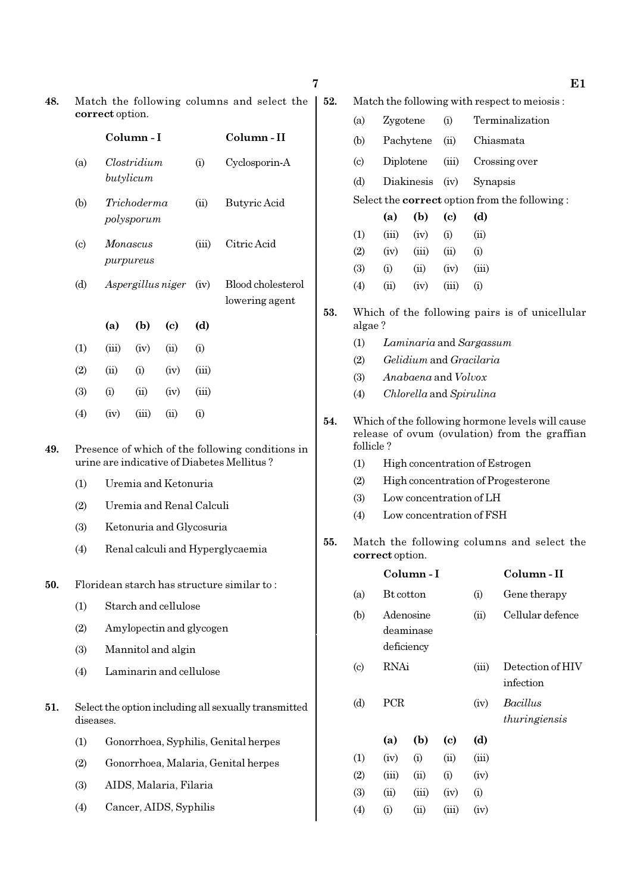| ×<br>۰. |
|---------|

48. Match the following columns and select the correct option.

|                             |       | Column-I                  |      |                    | Column-II                           |
|-----------------------------|-------|---------------------------|------|--------------------|-------------------------------------|
| (a)                         |       | Clostridium<br>butylicum  |      | (i)                | Cyclosporin-A                       |
| (b)                         |       | Trichoderma<br>polysporum |      | (ii)               | Butyric Acid                        |
| $\left( \mathrm{c} \right)$ |       | Monascus<br>purpureus     |      |                    | Citric Acid                         |
| (d)                         |       | Aspergillus niger         |      | (iv)               | Blood cholesterol<br>lowering agent |
|                             | (a)   | (b)                       | (c)  | (d)                |                                     |
| (1)                         | (iii) | (iv)                      | (ii) | (i)                |                                     |
| (2)                         | (ii)  | (i)                       | (iv) | (iii)              |                                     |
| (3)                         | (i)   | (ii)                      | (iv) | (iii)              |                                     |
| $\left( 4\right)$           | (iv)  | (iii)                     | (ii) | $\rm \textbf{(i)}$ |                                     |

- 49. Presence of which of the following conditions in urine are indicative of Diabetes Mellitus ?
	- (1) Uremia and Ketonuria
	- (2) Uremia and Renal Calculi
	- (3) Ketonuria and Glycosuria
	- (4) Renal calculi and Hyperglycaemia
- 50. Floridean starch has structure similar to :
	- (1) Starch and cellulose
	- (2) Amylopectin and glycogen
	- (3) Mannitol and algin
	- (4) Laminarin and cellulose
- 51. Select the option including all sexually transmitted diseases.
	- (1) Gonorrhoea, Syphilis, Genital herpes
	- (2) Gonorrhoea, Malaria, Genital herpes
	- (3) AIDS, Malaria, Filaria
	- (4) Cancer, AIDS, Syphilis

| 52. | Match the following with respect to meiosis: |  |  |  |  |  |
|-----|----------------------------------------------|--|--|--|--|--|
|-----|----------------------------------------------|--|--|--|--|--|

| (a) | Zygotene                 |             | (i)  | Terminalization                                      |
|-----|--------------------------|-------------|------|------------------------------------------------------|
| (b) | Pachytene                |             | (ii) | Chiasmata                                            |
| (c) |                          |             |      | Diplotene (iii) Crossing over                        |
| (d) | Diakinesis (iv) Synapsis |             |      |                                                      |
|     |                          |             |      | Select the <b>correct</b> option from the following: |
|     | (a)                      | $(b)$ $(c)$ |      | (d)                                                  |
| (1) | (iii)                    | (iv)        | (i)  | $\dot{\mathbf{u}}$                                   |
| (2) | (iv)                     | (iii)       | (ii) | $\rm(i)$                                             |

- (3) (i) (ii) (iv) (iii)
- (4) (ii) (iv) (iii) (i)
- 53. Which of the following pairs is of unicellular algae ?
	- (1) Laminaria and Sargassum
	- (2) Gelidium and Gracilaria
	- (3) Anabaena and Volvox
	- (4) Chlorella and Spirulina
- 54. Which of the following hormone levels will cause release of ovum (ovulation) from the graffian follicle ?
	- (1) High concentration of Estrogen
	- (2) High concentration of Progesterone
	- (3) Low concentration of LH
	- (4) Low concentration of FSH
- 55. Match the following columns and select the correct option.

|                            |                  | Column - I                           |                             |       | Column - II                   |
|----------------------------|------------------|--------------------------------------|-----------------------------|-------|-------------------------------|
| (a)                        | <b>Bt</b> cotton |                                      |                             | (i)   | Gene therapy                  |
| (b)                        |                  | Adenosine<br>deaminase<br>deficiency |                             | (ii)  | Cellular defence              |
| $\left( \mathrm{c}\right)$ | RNAi             |                                      |                             | (iii) | Detection of HIV<br>infection |
| (d)                        | PCR              |                                      |                             | (iv)  | Bacillus<br>thuringiensis     |
|                            | (a)              | (b)                                  | $\left( \mathrm{c} \right)$ | (d)   |                               |
| (1)                        | (iv)             | (i)                                  | (ii)                        | (iii) |                               |
| (2)                        | (iii)            | (ii)                                 | (i)                         | (iv)  |                               |
| (3)                        | (ii)             | (iii)                                | (iv)                        | (i)   |                               |
| (4)                        | (i)              | (ii)                                 | (iii)                       | (iv)  |                               |

7 E1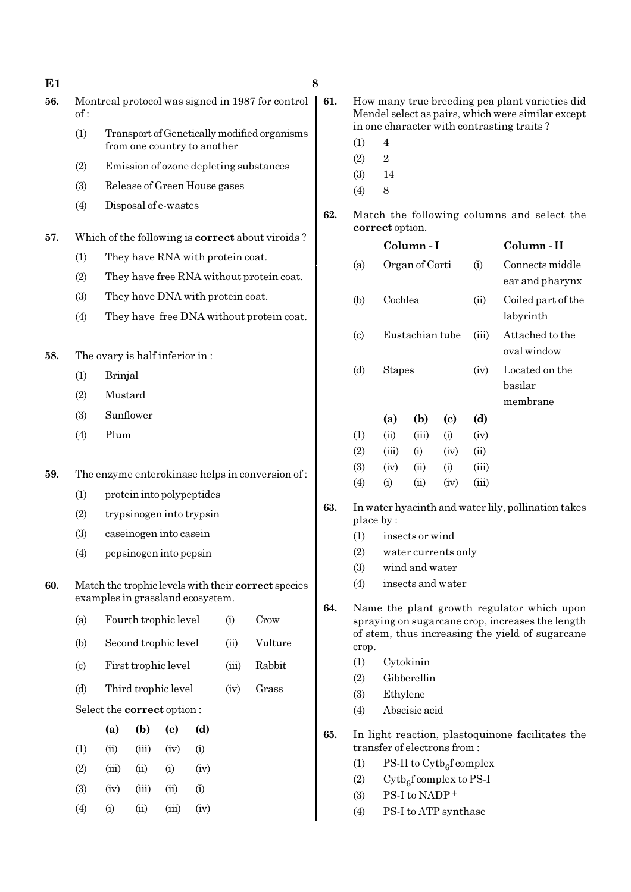| E1  |     |                                |              |                                    |                                  |                                          |                                                         | 8   |            |                                                                  |                 |                                   |                                      |                                                                                                     |  |
|-----|-----|--------------------------------|--------------|------------------------------------|----------------------------------|------------------------------------------|---------------------------------------------------------|-----|------------|------------------------------------------------------------------|-----------------|-----------------------------------|--------------------------------------|-----------------------------------------------------------------------------------------------------|--|
| 56. | of: |                                |              |                                    |                                  |                                          | Montreal protocol was signed in 1987 for control        | 61. |            |                                                                  |                 |                                   |                                      | How many true breeding pea plant varieties did<br>Mendel select as pairs, which were similar except |  |
|     | (1) |                                |              |                                    |                                  |                                          | Transport of Genetically modified organisms             |     | (1)        | $\overline{4}$                                                   |                 |                                   |                                      | in one character with contrasting traits?                                                           |  |
|     |     |                                |              |                                    | from one country to another      |                                          |                                                         |     | (2)        | $\sqrt{2}$                                                       |                 |                                   |                                      |                                                                                                     |  |
|     | (2) |                                |              |                                    |                                  |                                          | Emission of ozone depleting substances                  |     | (3)        | 14                                                               |                 |                                   |                                      |                                                                                                     |  |
|     | (3) |                                |              |                                    | Release of Green House gases     |                                          |                                                         |     | (4)        | $\,8\,$                                                          |                 |                                   |                                      |                                                                                                     |  |
|     | (4) |                                |              | Disposal of e-wastes               |                                  |                                          |                                                         | 62. |            | correct option.                                                  |                 |                                   |                                      | Match the following columns and select the                                                          |  |
| 57. |     |                                |              |                                    |                                  |                                          | Which of the following is <b>correct</b> about viroids? |     |            |                                                                  | Column-I        |                                   |                                      | Column-II                                                                                           |  |
|     | (1) |                                |              |                                    | They have RNA with protein coat. |                                          |                                                         |     | (a)        |                                                                  | Organ of Corti  |                                   | (i)                                  | Connects middle                                                                                     |  |
|     | (2) |                                |              |                                    |                                  | They have free RNA without protein coat. |                                                         |     |            |                                                                  |                 |                                   |                                      | ear and pharynx                                                                                     |  |
|     | (3) |                                |              |                                    | They have DNA with protein coat. |                                          |                                                         |     | (b)        | Cochlea                                                          |                 |                                   | (ii)                                 | Coiled part of the                                                                                  |  |
|     | (4) |                                |              |                                    |                                  |                                          | They have free DNA without protein coat.                |     |            |                                                                  |                 |                                   |                                      | labyrinth                                                                                           |  |
| 58. |     | The ovary is half inferior in: |              |                                    |                                  |                                          |                                                         |     | (c)        |                                                                  | Eustachian tube |                                   | (iii)                                | Attached to the<br>oval window                                                                      |  |
|     | (1) | <b>Brinjal</b>                 |              |                                    |                                  |                                          |                                                         |     | (d)        | <b>Stapes</b>                                                    |                 |                                   | (iv)                                 | Located on the                                                                                      |  |
|     | (2) | Mustard                        |              |                                    |                                  |                                          |                                                         |     |            |                                                                  |                 |                                   |                                      | basilar                                                                                             |  |
|     | (3) |                                | Sunflower    |                                    |                                  |                                          |                                                         |     |            |                                                                  |                 |                                   |                                      | membrane                                                                                            |  |
|     | (4) | Plum                           |              |                                    |                                  |                                          |                                                         |     | (1)        | (a)<br>(ii)                                                      | (b)<br>(iii)    | $\left( \mathrm{c}\right)$<br>(i) | (d)<br>(iv)                          |                                                                                                     |  |
|     |     |                                |              |                                    |                                  |                                          |                                                         |     | (2)        | (iii)                                                            | (i)             | (iv)                              | (ii)                                 |                                                                                                     |  |
|     |     |                                |              |                                    |                                  |                                          |                                                         |     | (3)        | (iv)                                                             | (ii)            | (i)                               | (iii)                                |                                                                                                     |  |
| 59. |     |                                |              |                                    |                                  |                                          | The enzyme enterokinase helps in conversion of:         |     | (4)        | (i)                                                              | (ii)            | (iv)                              | (iii)                                |                                                                                                     |  |
|     | (1) |                                |              |                                    | protein into polypeptides        |                                          |                                                         | 63. |            | In water hyacinth and water lily, pollination takes<br>place by: |                 |                                   |                                      |                                                                                                     |  |
|     | (2) |                                |              |                                    | trypsinogen into trypsin         |                                          |                                                         |     |            |                                                                  |                 |                                   |                                      |                                                                                                     |  |
|     | (3) |                                |              | caseinogen into casein             |                                  |                                          |                                                         |     | (1)        |                                                                  | insects or wind |                                   |                                      |                                                                                                     |  |
|     | (4) |                                |              | pepsinogen into pepsin             |                                  |                                          |                                                         |     | (2)<br>(3) |                                                                  | wind and water  | water currents only               |                                      |                                                                                                     |  |
| 60. |     |                                |              |                                    |                                  |                                          | Match the trophic levels with their correct species     |     | (4)        |                                                                  |                 | insects and water                 |                                      |                                                                                                     |  |
|     |     |                                |              |                                    | examples in grassland ecosystem. |                                          |                                                         | 64. |            |                                                                  |                 |                                   |                                      | Name the plant growth regulator which upon                                                          |  |
|     | (a) |                                |              | Fourth trophic level               |                                  | (i)                                      | Crow                                                    |     |            |                                                                  |                 |                                   |                                      | spraying on sugarcane crop, increases the length                                                    |  |
|     | (b) |                                |              | Second trophic level               |                                  | (ii)                                     | Vulture                                                 |     | crop.      |                                                                  |                 |                                   |                                      | of stem, thus increasing the yield of sugarcane                                                     |  |
|     | (c) |                                |              | First trophic level                |                                  | (iii)                                    | Rabbit                                                  |     | (1)        |                                                                  | Cytokinin       |                                   |                                      |                                                                                                     |  |
|     |     |                                |              |                                    |                                  |                                          |                                                         |     | (2)        |                                                                  | Gibberellin     |                                   |                                      |                                                                                                     |  |
|     | (d) |                                |              | Third trophic level                |                                  | (iv)                                     | Grass                                                   |     | (3)        | Ethylene                                                         |                 |                                   |                                      |                                                                                                     |  |
|     |     | Select the correct option:     |              |                                    |                                  |                                          |                                                         |     | (4)        |                                                                  | Abscisic acid   |                                   |                                      |                                                                                                     |  |
|     | (1) | (a)<br>(ii)                    | (b)<br>(iii) | $\left( \mathrm{e}\right)$<br>(iv) | (d)<br>(i)                       |                                          |                                                         | 65. |            | transfer of electrons from:                                      |                 |                                   |                                      | In light reaction, plastoquinone facilitates the                                                    |  |
|     | (2) | (iii)                          | (ii)         | (i)                                | (iv)                             |                                          |                                                         |     | (1)        |                                                                  |                 |                                   | PS-II to $\mathrm{Cytb}_6$ f complex |                                                                                                     |  |
|     |     |                                |              |                                    |                                  |                                          |                                                         |     | (2)        |                                                                  |                 | $Cytb6f complex to PS-I$          |                                      |                                                                                                     |  |
|     | (3) | (iv)                           | (iii)        | (ii)                               | (i)                              |                                          |                                                         |     | (3)        |                                                                  | PS-I to NADP+   |                                   |                                      |                                                                                                     |  |

(4) (i) (ii) (iii) (iv)

(4) PS-I to ATP synthase

- nd water lily, pollination takes
	- $\operatorname{nd}$
	- ts only
	- $ter$
	- ater
- rowth regulator which upon ane crop, increases the length easing the yield of sugarcane
- plastoquinone facilitates the s from :
	- <sup>6</sup><sub>6</sub>f complex
- labyrinth
	- (iii) Attached to the oval window  $(iv)$  Located on the
		- basilar membrane

|     | (a)   | (b)   | (c)  | (d)   |  |
|-----|-------|-------|------|-------|--|
| (1) | (ii)  | (iii) | (i)  | (iv)  |  |
| (2) | (iii) | (i)   | (iv) | (ii)  |  |
| (3) | (iv)  | (ii)  | (i)  | (iii) |  |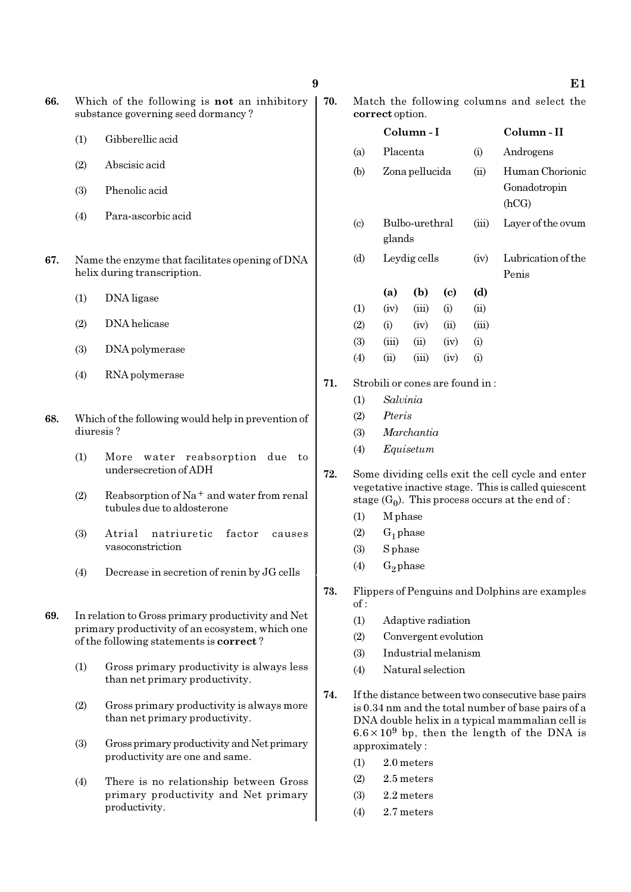- (2) Abscisic acid
- (3) Phenolic acid
- (4) Para-ascorbic acid
- 67. Name the enzyme that facilitates opening of DNA helix during transcription.
	- (1) DNA ligase
	- (2) DNA helicase
	- (3) DNA polymerase
	- (4) RNA polymerase
- 68. Which of the following would help in prevention of diuresis ?
	- (1) More water reabsorption due to undersecretion of ADH
	- (2) Reabsorption of  $Na<sup>+</sup>$  and water from renal tubules due to aldosterone
	- (3) Atrial natriuretic factor causes vasoconstriction
	- (4) Decrease in secretion of renin by JG cells
- 69. In relation to Gross primary productivity and Net primary productivity of an ecosystem, which one of the following statements is correct ?
	- (1) Gross primary productivity is always less than net primary productivity.
	- (2) Gross primary productivity is always more than net primary productivity.
	- (3) Gross primary productivity and Net primary productivity are one and same.
	- (4) There is no relationship between Gross primary productivity and Net primary productivity.

| 70. |                 | Match the following columns and select the |  |  |
|-----|-----------------|--------------------------------------------|--|--|
|     | correct option. |                                            |  |  |

|     |                             |                                 | Column-I       |      |       | Column-II                                           |
|-----|-----------------------------|---------------------------------|----------------|------|-------|-----------------------------------------------------|
|     | (a)                         | Placenta                        |                |      | (i)   | Androgens                                           |
|     | (b)                         |                                 | Zona pellucida |      | (ii)  | Human Chorionic<br>Gonadotropin                     |
|     |                             |                                 |                |      |       | (hCG)                                               |
|     | $\left( \mathrm{c} \right)$ |                                 | Bulbo-urethral |      | (iii) | Layer of the ovum                                   |
|     |                             | glands                          |                |      |       |                                                     |
|     | (d)                         |                                 | Leydig cells   |      | (iv)  | Lubrication of the                                  |
|     |                             |                                 |                |      |       | Penis                                               |
|     |                             | (a)                             | (b)            | (c)  | (d)   |                                                     |
|     | (1)                         | (iv)                            | (iii)          | (i)  | (ii)  |                                                     |
|     | (2)                         | (i)                             | (iv)           | (ii) | (iii) |                                                     |
|     | (3)                         | (iii)                           | (ii)           | (iv) | (i)   |                                                     |
|     | (4)                         | (ii)                            | (iii)          | (iv) | (i)   |                                                     |
| 71. |                             | Strobili or cones are found in: |                |      |       |                                                     |
|     | (1)                         | Salvinia                        |                |      |       |                                                     |
|     | (2)                         | Pteris                          |                |      |       |                                                     |
|     | (3)                         |                                 | Marchantia     |      |       |                                                     |
|     | (4)                         |                                 | Equisetum      |      |       |                                                     |
| 72. |                             |                                 |                |      |       | Some dividing cells exit the cell cycle and enter   |
|     |                             |                                 |                |      |       | vegetative inactive stage. This is called quiescent |
|     |                             |                                 |                |      |       | stage $(G_0)$ . This process occurs at the end of : |
|     | (1)                         | M phase                         |                |      |       |                                                     |
|     | (2)                         | $G_1$ phase                     |                |      |       |                                                     |
|     | (3)                         | <b>S</b> phase                  |                |      |       |                                                     |
|     | (4)                         | $G_2$ phase                     |                |      |       |                                                     |

- 73. Flippers of Penguins and Dolphins are examples  $of:$ 
	- (1) Adaptive radiation
	- (2) Convergent evolution
	- (3) Industrial melanism
	- (4) Natural selection
- 74. If the distance between two consecutive base pairs is 0.34 nm and the total number of base pairs of a DNA double helix in a typical mammalian cell is  $6.6 \times 10^9$  bp, then the length of the DNA is approximately :
	- (1) 2.0 meters
	- (2) 2.5 meters
	- (3) 2.2 meters
	- (4) 2.7 meters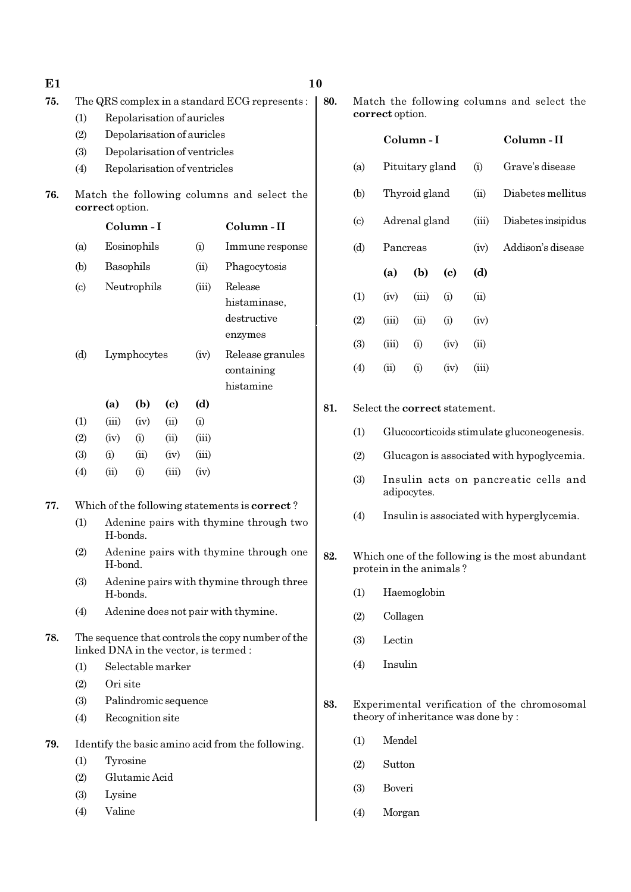| E1  |                           |                  |                      |                            |                              |                                                   | 10  |                                                                            |                                    |                 |                             |                   |                                              |
|-----|---------------------------|------------------|----------------------|----------------------------|------------------------------|---------------------------------------------------|-----|----------------------------------------------------------------------------|------------------------------------|-----------------|-----------------------------|-------------------|----------------------------------------------|
| 75. |                           |                  |                      |                            |                              | The QRS complex in a standard ECG represents:     | 80. |                                                                            |                                    |                 |                             |                   | Match the following columns and select the   |
|     | (1)                       |                  |                      |                            | Repolarisation of auricles   |                                                   |     |                                                                            | correct option.                    |                 |                             |                   |                                              |
|     | (2)                       |                  |                      |                            | Depolarisation of auricles   |                                                   |     |                                                                            |                                    | Column-I        |                             |                   | Column-II                                    |
|     | (3)                       |                  |                      |                            | Depolarisation of ventricles |                                                   |     | (a)                                                                        |                                    | Pituitary gland |                             | (i)               | Grave's disease                              |
|     | (4)                       |                  |                      |                            | Repolarisation of ventricles |                                                   |     |                                                                            | Thyroid gland<br>(ii)<br>(b)       |                 |                             |                   |                                              |
| 76. |                           | correct option.  |                      |                            |                              | Match the following columns and select the        |     |                                                                            |                                    |                 |                             | Diabetes mellitus |                                              |
|     |                           | Column-I         |                      |                            |                              | Column-II                                         |     | $\left( \text{c} \right)$                                                  |                                    | Adrenal gland   |                             | (iii)             | Diabetes insipidus                           |
|     | (a)                       |                  | Eosinophils<br>(i)   |                            |                              | Immune response                                   |     | (d)                                                                        | Pancreas                           |                 |                             | (iv)              | Addison's disease                            |
|     | (b)                       |                  | Basophils            |                            | (ii)                         | Phagocytosis                                      |     |                                                                            | (a)                                | (b)             | $\left( \mathbf{c} \right)$ | (d)               |                                              |
|     | $\left( \text{c} \right)$ |                  | Neutrophils          |                            | (iii)                        | Release                                           |     |                                                                            |                                    |                 |                             |                   |                                              |
|     |                           |                  |                      |                            |                              | histaminase,                                      |     | (1)                                                                        | (iv)                               | (iii)           | (i)                         | (ii)              |                                              |
|     |                           |                  |                      |                            |                              | destructive<br>enzymes                            |     | (2)                                                                        | (iii)                              | (ii)            | (i)                         | (iv)              |                                              |
|     | (d)                       |                  | Lymphocytes          |                            | (iv)                         | Release granules                                  |     | (3)                                                                        | (iii)                              | (i)             | (iv)                        | (ii)              |                                              |
|     |                           |                  |                      |                            |                              | containing                                        |     | (4)                                                                        | (ii)                               | (i)             | (iv)                        | (iii)             |                                              |
|     |                           |                  |                      |                            |                              | histamine                                         |     |                                                                            |                                    |                 |                             |                   |                                              |
|     |                           | (a)              | (b)                  | $\left( \mathrm{c}\right)$ | (d)                          |                                                   | 81. |                                                                            | Select the correct statement.      |                 |                             |                   |                                              |
|     | (1)                       | (iii)            | (iv)                 | (ii)                       | (i)                          |                                                   |     | (1)                                                                        |                                    |                 |                             |                   | Glucocorticoids stimulate gluconeogenesis.   |
|     | (2)                       | (iv)             | (i)                  | (ii)                       | (iii)                        |                                                   |     |                                                                            |                                    |                 |                             |                   |                                              |
|     | (3)<br>(4)                | (i)<br>(ii)      | (ii)<br>(i)          | (iv)<br>(iii)              | (iii)<br>(iv)                |                                                   |     | (2)                                                                        |                                    |                 |                             |                   | Glucagon is associated with hypoglycemia.    |
|     |                           |                  |                      |                            |                              |                                                   |     | (3)                                                                        |                                    | adipocytes.     |                             |                   | Insulin acts on pancreatic cells and         |
| 77. |                           |                  |                      |                            |                              | Which of the following statements is correct?     |     | (4)<br>Insulin is associated with hyperglycemia.                           |                                    |                 |                             |                   |                                              |
|     | (1)                       | H-bonds.         |                      |                            |                              | Adenine pairs with thymine through two            |     |                                                                            |                                    |                 |                             |                   |                                              |
|     | (2)                       | H-bond.          |                      |                            |                              | Adenine pairs with thymine through one            | 82. | Which one of the following is the most abundant<br>protein in the animals? |                                    |                 |                             |                   |                                              |
|     | (3)                       | H-bonds.         |                      |                            |                              | Adenine pairs with thymine through three          |     | Haemoglobin<br>(1)                                                         |                                    |                 |                             |                   |                                              |
|     | (4)                       |                  |                      |                            |                              | Adenine does not pair with thymine.               |     | (2)                                                                        | Collagen                           |                 |                             |                   |                                              |
| 78. |                           |                  |                      |                            |                              | The sequence that controls the copy number of the |     |                                                                            |                                    |                 |                             |                   |                                              |
|     |                           |                  |                      |                            |                              | linked DNA in the vector, is termed:              |     | (3)                                                                        | Lectin                             |                 |                             |                   |                                              |
|     | (1)                       |                  | Selectable marker    |                            |                              |                                                   |     | (4)                                                                        | Insulin                            |                 |                             |                   |                                              |
|     | (2)                       | Ori site         |                      |                            |                              |                                                   |     |                                                                            |                                    |                 |                             |                   |                                              |
|     | (3)                       |                  | Palindromic sequence |                            |                              |                                                   | 83. |                                                                            |                                    |                 |                             |                   | Experimental verification of the chromosomal |
|     | (4)                       |                  | Recognition site     |                            |                              |                                                   |     |                                                                            | theory of inheritance was done by: |                 |                             |                   |                                              |
| 79. |                           |                  |                      |                            |                              | Identify the basic amino acid from the following. |     | (1)                                                                        | Mendel                             |                 |                             |                   |                                              |
|     | (1)                       | Tyrosine         |                      |                            |                              |                                                   |     | (2)                                                                        | Sutton                             |                 |                             |                   |                                              |
|     | (2)                       |                  | Glutamic Acid        |                            |                              |                                                   |     | (3)                                                                        | Boveri                             |                 |                             |                   |                                              |
|     | (3)<br>(4)                | Lysine<br>Valine |                      |                            |                              |                                                   |     | (4)                                                                        | Morgan                             |                 |                             |                   |                                              |
|     |                           |                  |                      |                            |                              |                                                   |     |                                                                            |                                    |                 |                             |                   |                                              |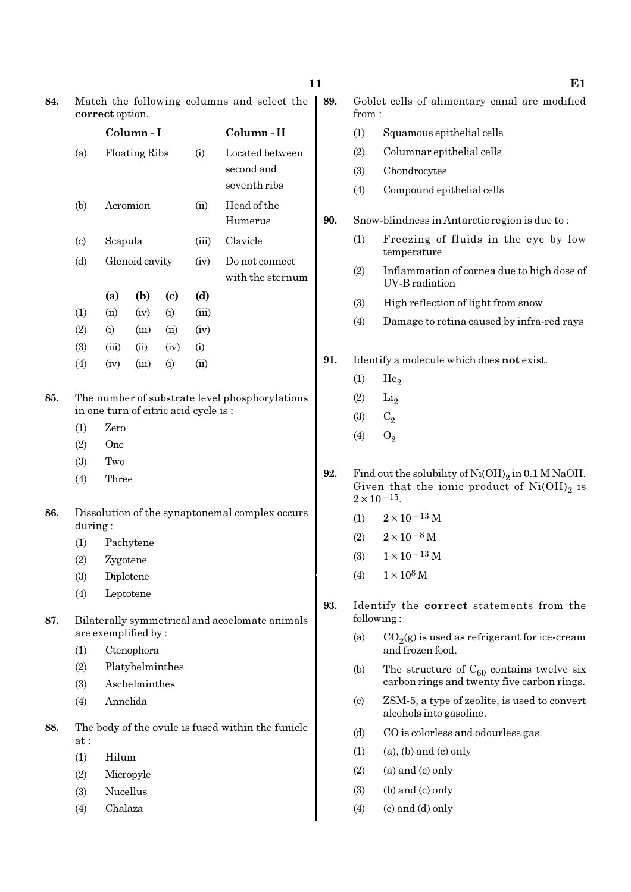|                           |                     | Column-I             |                            |       | Column-II                                         |
|---------------------------|---------------------|----------------------|----------------------------|-------|---------------------------------------------------|
| (a)                       |                     | <b>Floating Ribs</b> |                            | (i)   | Located between<br>second and<br>seventh ribs     |
| (b)                       |                     | Acromion             |                            | (ii)  | Head of the<br>Humerus                            |
| $\left( \text{c} \right)$ | Scapula             |                      |                            | (iii) | Clavicle                                          |
| (d)                       |                     | Glenoid cavity       |                            | (iv)  | Do not connect<br>with the sternum                |
|                           | (a)                 | (b)                  | $\left( \mathrm{c}\right)$ | (d)   |                                                   |
| (1)                       | (ii)                | (iv)                 | (i)                        | (iii) |                                                   |
| (2)                       | (i)                 | (iii)                | (ii)                       | (iv)  |                                                   |
| (3)                       | (iii)               | (ii)                 | (iv)                       | (i)   |                                                   |
| (4)                       | (iv)                | (iii)                | (i)                        | (ii)  |                                                   |
| (4)                       | Three               |                      |                            |       |                                                   |
|                           |                     |                      |                            |       | Dissolution of the synaptonemal complex occurs    |
| during:                   |                     |                      |                            |       |                                                   |
| (1)                       |                     | Pachytene            |                            |       |                                                   |
| (2)                       | Zygotene            |                      |                            |       |                                                   |
| (3)                       |                     | Diplotene            |                            |       |                                                   |
| (4)                       |                     | Leptotene            |                            |       |                                                   |
|                           | are exemplified by: |                      |                            |       | Bilaterally symmetrical and acoelomate animals    |
| (1)                       |                     | Ctenophora           |                            |       |                                                   |
| (2)                       |                     | Platyhelminthes      |                            |       |                                                   |
| (3)                       |                     | Aschelminthes        |                            |       |                                                   |
| (4)                       | Annelida            |                      |                            |       |                                                   |
| at:                       |                     |                      |                            |       | The body of the ovule is fused within the funicle |
| (1)                       | Hilum               |                      |                            |       |                                                   |

- (3) Nucellus
- (4) Chalaza

Goblet cells of alimentary canal are modified from : (1) Squamous epithelial cells (2) Columnar epithelial cells (3) Chondrocytes (4) Compound epithelial cells Snow-blindness in Antarctic region is due to: (1) Freezing of fluids in the eye by low temperature (2) Inflammation of cornea due to high dose of UV-B radiation (3) High reflection of light from snow (4) Damage to retina caused by infra-red rays Identify a molecule which does not exist.  $(1)$  He<sub>2</sub>  $(2)$  Li<sub>2</sub> (3)  $C_2$  $(4)$   $O_2$ 

- **92.** Find out the solubility of  $Ni(OH)_2$  in 0.1 M NaOH. Given that the ionic product of  $\mathrm{Ni(OH)}_{2}$  is  $2 \times 10^{-15}$ .
	- (1)  $2 \times 10^{-13}$  M
	- $(2)$  2×10<sup>-8</sup> M
	- (3)  $1 \times 10^{-13}$  M
	- (4)  $1 \times 10^8$  M
- Identify the correct statements from the following :
	- (a)  $CO_2(g)$  is used as refrigerant for ice-cream and frozen food.
	- (b) The structure of  $C_{60}$  contains twelve six carbon rings and twenty five carbon rings.
	- (c) ZSM-5, a type of zeolite, is used to convert alcohols into gasoline.
	- (d) CO is colorless and odourless gas.
	- $(1)$   $(a)$ ,  $(b)$  and  $(c)$  only
	- $(2)$  (a) and (c) only
	- $(3)$  (b) and  $(c)$  only
	- $(4)$  (c) and (d) only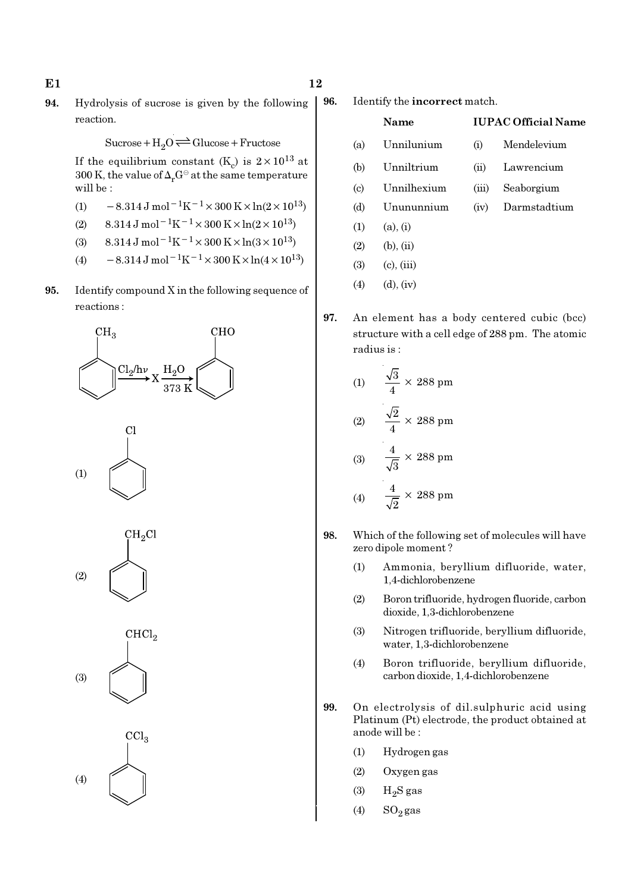94. Hydrolysis of sucrose is given by the following reaction.

$$
Sucrose + H_2O \rightleftharpoons Glucose + Fructose
$$

If the equilibrium constant (K<sub>c</sub>) is  $2 \times 10^{13}$  at 300 K, the value of  $\Delta_rG^\ominus$  at the same temperature will be :

- (1)  $-8.314 \,\mathrm{J} \,\mathrm{mol}^{-1} \mathrm{K}^{-1} \times 300 \,\mathrm{K} \times \ln(2 \times 10^{13})$
- (2) 8.314 J mol<sup>-1</sup>K<sup>-1</sup> × 300 K × ln(2 × 10<sup>13</sup>)
- (3) 8.314 J mol<sup>-1</sup>K<sup>-1</sup> × 300 K × ln(3 × 10<sup>13</sup>)
- (4)  $-8.314 \text{ J mol}^{-1} \text{K}^{-1} \times 300 \text{ K} \times \ln(4 \times 10^{13})$
- 95. Identify compound X in the following sequence of reactions :





 $\mathrm{CH_{2}Cl}$ (2)





96. Identify the incorrect match.

|                             | Name            |                    | <b>IUPAC Official Name</b> |
|-----------------------------|-----------------|--------------------|----------------------------|
| (a)                         | Unnilunium      | (i)                | Mendelevium                |
| (b)                         | Unniltrium      | $\dot{\mathbf{u}}$ | Lawrencium                 |
| $\left( \mathrm{c} \right)$ | Unnilhexium     | (iii)              | Seaborgium                 |
| (d)                         | Unununnium      | (iv)               | Darmstadtium               |
| (1)                         | (a), (i)        |                    |                            |
| (2)                         | (b), (ii)       |                    |                            |
| (3)                         | $(c)$ , $(iii)$ |                    |                            |

- $(4)$   $(d), (iv)$
- 97. An element has a body centered cubic (bcc) structure with a cell edge of 288 pm. The atomic radius is :

(1) 
$$
\frac{\sqrt{3}}{4} \times 288 \text{ pm}
$$
  
(2) 
$$
\frac{\sqrt{2}}{4} \times 288 \text{ pm}
$$
  
(3) 
$$
\frac{4}{\sqrt{3}} \times 288 \text{ pm}
$$
  
(4) 
$$
\frac{4}{\sqrt{2}} \times 288 \text{ pm}
$$

- 98. Which of the following set of molecules will have zero dipole moment ?
	- (1) Ammonia, beryllium difluoride, water, 1,4-dichlorobenzene
	- (2) Boron trifluoride, hydrogen fluoride, carbon dioxide, 1,3-dichlorobenzene
	- (3) Nitrogen trifluoride, beryllium difluoride, water, 1,3-dichlorobenzene
	- (4) Boron trifluoride, beryllium difluoride, carbon dioxide, 1,4-dichlorobenzene
- 99. On electrolysis of dil.sulphuric acid using Platinum (Pt) electrode, the product obtained at anode will be :
	- (1) Hydrogen gas
	- (2) Oxygen gas
	- $(3)$  H<sub>2</sub>S gas
	- (4)  $SO_2$  gas

## $E1$  12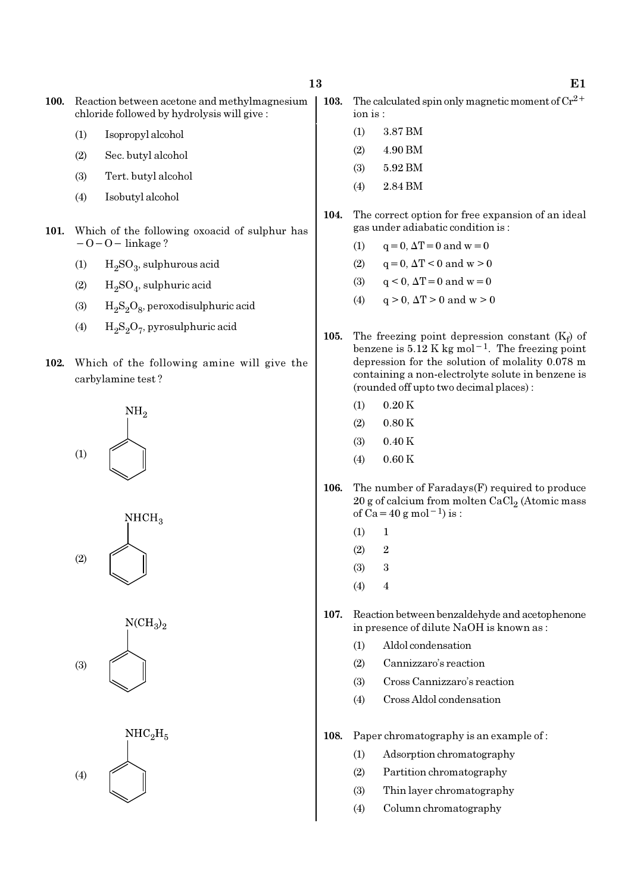- (1) Isopropyl alcohol
- (2) Sec. butyl alcohol
- (3) Tert. butyl alcohol
- (4) Isobutyl alcohol
- 101. Which of the following oxoacid of sulphur has −O−O− linkage ?
	- (1)  $H_2SO_3$ , sulphurous acid
	- (2)  $H_2SO_4$ , sulphuric acid
	- (3)  $H_2S_2O_8$ , peroxodisulphuric acid
	- (4)  $H_2S_2O_7$ , pyrosulphuric acid
- 102. Which of the following amine will give the carbylamine test ?









- 103. The calculated spin only magnetic moment of  $Cr^{2+}$ ion is :
	- (1) 3.87 BM
	- $(2)$  4.90 BM
	- (3) 5.92 BM
	- (4) 2.84 BM
- 104. The correct option for free expansion of an ideal gas under adiabatic condition is :
	- (1)  $q = 0, \Delta T = 0$  and  $w = 0$
	- (2)  $q = 0, \Delta T < 0$  and  $w > 0$
	- (3)  $q < 0$ ,  $\Delta T = 0$  and  $w = 0$
	- (4)  $q > 0$ ,  $\Delta T > 0$  and  $w > 0$
- 105. The freezing point depression constant  $(K_f)$  of benzene is  $5.12$  K kg mol<sup>-1</sup>. The freezing point depression for the solution of molality 0.078 m containing a non-electrolyte solute in benzene is (rounded off upto two decimal places) :
	- $(1)$  0.20 K
	- $(2)$  0.80 K
	- $(3)$  0.40 K
	- $(4)$  0.60 K
- 106. The number of Faradays(F) required to produce  $20$  g of calcium from molten CaCl $_2$  (Atomic mass of Ca=40 g mol<sup>-1</sup>) is :
	- $(1) 1$
	- $(2)$  2
	- (3) 3
	- $(4)$  4
- 107. Reaction between benzaldehyde and acetophenone in presence of dilute NaOH is known as :
	- (1) Aldol condensation
	- (2) Cannizzaro's reaction
	- (3) Cross Cannizzaro's reaction
	- (4) Cross Aldol condensation
- 108. Paper chromatography is an example of :
	- (1) Adsorption chromatography
	- (2) Partition chromatography
	- (3) Thin layer chromatography
	- (4) Column chromatography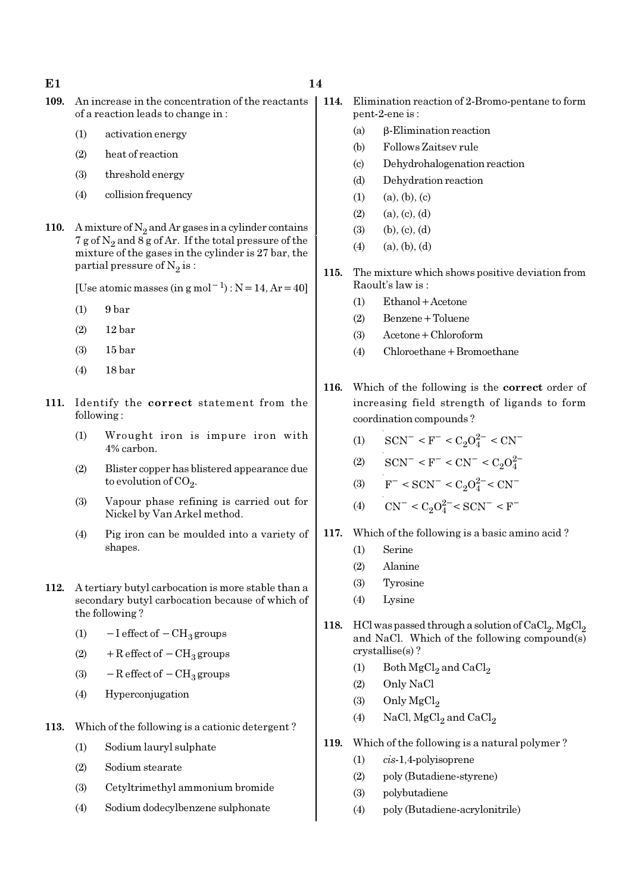- 
- 109. An increase in the concentration of the reactants of a reaction leads to change in :
	- (1) activation energy
	- (2) heat of reaction
	- (3) threshold energy
	- (4) collision frequency
- 110. A mixture of  $N_2$  and Ar gases in a cylinder contains  $7$  g of  $\mathrm{N}_2$  and  $8$  g of Ar. If the total pressure of the mixture of the gases in the cylinder is 27 bar, the partial pressure of  $\mathrm{N}_2 \, \mathrm{is}$  :

[Use atomic masses (in g mol<sup>-1</sup>) : N=14, Ar=40]

- (1) 9 bar
- (2) 12 bar
- (3) 15 bar
- (4) 18 bar
- 111. Identify the correct statement from the following :
	- (1) Wrought iron is impure iron with 4% carbon.
	- (2) Blister copper has blistered appearance due to evolution of CO<sub>2</sub>.
	- (3) Vapour phase refining is carried out for Nickel by Van Arkel method.
	- (4) Pig iron can be moulded into a variety of shapes.
- 112. A tertiary butyl carbocation is more stable than a secondary butyl carbocation because of which of the following ?
	- (1)  $-I$  effect of  $-CH_3$  groups
	- (2) + R effect of  $-CH<sub>3</sub>$  groups
	- (3)  $-$ R effect of  $-$ CH<sub>3</sub> groups
	- (4) Hyperconjugation
- 113. Which of the following is a cationic detergent ?
	- (1) Sodium lauryl sulphate
	- (2) Sodium stearate
	- (3) Cetyltrimethyl ammonium bromide
	- (4) Sodium dodecylbenzene sulphonate
- 114. Elimination reaction of 2-Bromo-pentane to form pent-2-ene is :
	- (a) β-Elimination reaction
	- (b) Follows Zaitsev rule
	- (c) Dehydrohalogenation reaction
	- (d) Dehydration reaction
	- $(1)$   $(a), (b), (c)$
	- $(2)$   $(a), (c), (d)$
	- $(3)$  (b),  $(c)$ ,  $(d)$
	- $(4)$   $(a), (b), (d)$
- 115. The mixture which shows positive deviation from Raoult's law is :
	- (1) Ethanol+Acetone
	- (2) Benzene+Toluene
	- (3) Acetone+Chloroform
	- (4) Chloroethane+Bromoethane
- 116. Which of the following is the correct order of increasing field strength of ligands to form coordination compounds ?
	- (1)  $\text{SCN}^-$  < F<sup>-</sup> < C<sub>2</sub>O<sub>4</sub><sup>2-</sup> < CN<sup>-</sup>
	- (2)  $\text{SCN}^-$  < F<sup>-</sup> < CN<sup>-</sup> < C<sub>2</sub>O<sub>4</sub><sup>2</sup>
	- (3)  $F^- < SCN^- < C_2O_4^{2-} < CN^-$
	- (4)  $\text{CN}^- \leq C_2 O_4^{2-} \leq \text{SCN}^- \leq \text{F}^-$
- 117. Which of the following is a basic amino acid ?
	- (1) Serine
	- (2) Alanine
	- (3) Tyrosine
	- (4) Lysine
- 118. HCl was passed through a solution of  $\mathrm{CaCl}_2$ ,  $\mathrm{MgCl}_2$ and NaCl. Which of the following compound(s) crystallise(s) ?
	- (1) Both  $MgCl<sub>2</sub>$  and  $CaCl<sub>2</sub>$
	- (2) Only NaCl
	- (3) Only  $MgCl<sub>2</sub>$
	- (4) NaCl,  ${ {\rm MgCl}_2}$  and  ${ {\rm CaCl}_2}$
- 119. Which of the following is a natural polymer ?
	- (1) cis-1,4-polyisoprene
	- (2) poly (Butadiene-styrene)
	- (3) polybutadiene
	- (4) poly (Butadiene-acrylonitrile)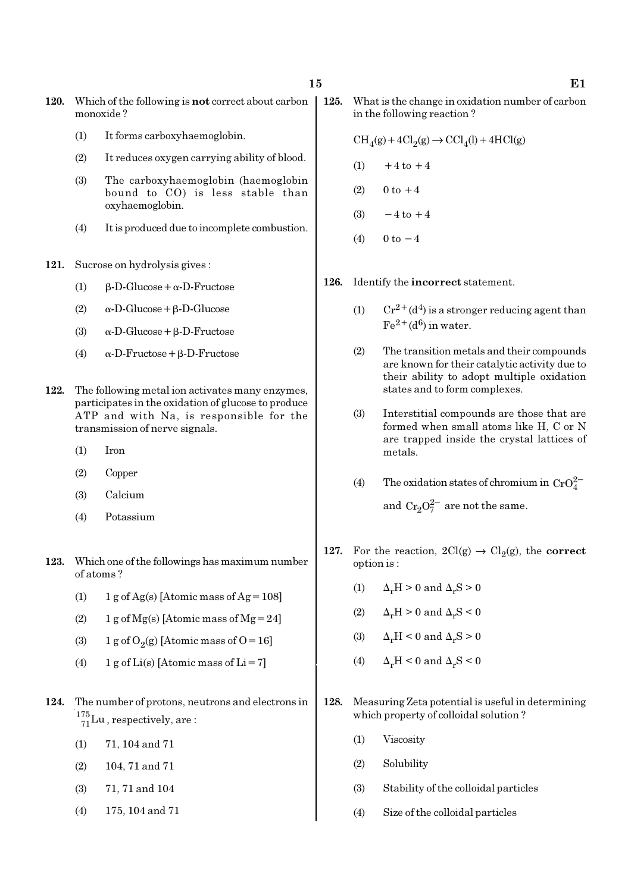- 120. Which of the following is not correct about carbon monoxide ?
	- (1) It forms carboxyhaemoglobin.
	- (2) It reduces oxygen carrying ability of blood.
	- (3) The carboxyhaemoglobin (haemoglobin bound to CO) is less stable than oxyhaemoglobin.
	- (4) It is produced due to incomplete combustion.
- 121. Sucrose on hydrolysis gives :
	- (1)  $β-D-Glucose + α-D-Fructose$
	- (2) α-D-Glucose+β-D-Glucose
	- (3) α-D-Glucose+β-D-Fructose
	- (4) α-D-Fructose+β-D-Fructose
- 122. The following metal ion activates many enzymes, participates in the oxidation of glucose to produce ATP and with Na, is responsible for the transmission of nerve signals.
	- (1) Iron
	- (2) Copper
	- (3) Calcium
	- (4) Potassium
- 123. Which one of the followings has maximum number of atoms ?
	- (1)  $1 g \text{ of } Ag(s)$  [Atomic mass of Ag = 108]
	- (2) 1 g of  $Mg(s)$  [Atomic mass of  $Mg = 24$ ]
	- (3) 1 g of  $O_2(g)$  [Atomic mass of O = 16]
	- (4) 1 g of Li(s) [Atomic mass of Li = 7]
- 124. The number of protons, neutrons and electrons in  $^{175}_{71}$ Lu, respectively, are:
	- (1) 71, 104 and 71
	- (2) 104, 71 and 71
	- (3) 71, 71 and 104
	- (4) 175, 104 and 71
- 125. What is the change in oxidation number of carbon in the following reaction ?
	- $\text{CH}_4(g) + 4\text{Cl}_2(g) \rightarrow \text{CCl}_4(l) + 4\text{HCl}(g)$
	- $(1) +4$  to  $+4$
	- (2)  $0 \text{ to } +4$
	- (3)  $-4$  to  $+4$
	- (4)  $0 \text{ to } -4$
- 126. Identify the incorrect statement.
	- (1)  $Cr^{2+}(d^4)$  is a stronger reducing agent than  $Fe<sup>2+</sup>(d<sup>6</sup>)$  in water.
	- (2) The transition metals and their compounds are known for their catalytic activity due to their ability to adopt multiple oxidation states and to form complexes.
	- (3) Interstitial compounds are those that are formed when small atoms like H, C or N are trapped inside the crystal lattices of metals.
	- (4) The oxidation states of chromium in  $CrO_4^{2-}$ and  $Cr_2O_7^{2-}$  are not the same.
- 127. For the reaction,  $2Cl(g) \rightarrow Cl_2(g)$ , the correct option is :
	- (1)  $\Delta_r H > 0$  and  $\Delta_r S > 0$
	- (2)  $\Delta_r H > 0$  and  $\Delta_r S < 0$
	- (3)  $\Delta_r H \leq 0$  and  $\Delta_r S \geq 0$
	- (4)  $\Delta_r H \leq 0$  and  $\Delta_r S \leq 0$
- 128. Measuring Zeta potential is useful in determining which property of colloidal solution ?
	- (1) Viscosity
	- (2) Solubility
	- (3) Stability of the colloidal particles
	- (4) Size of the colloidal particles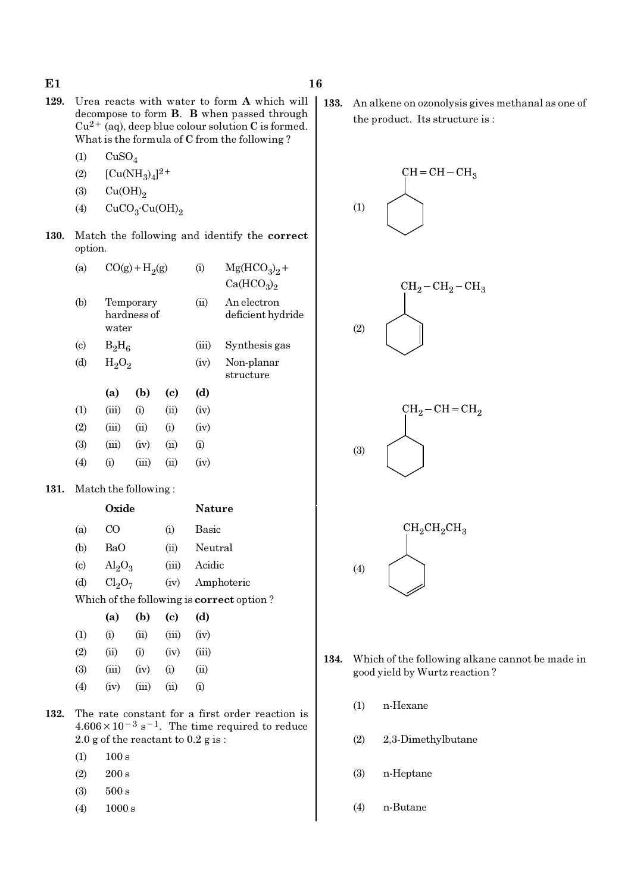- 129. Urea reacts with water to form A which will decompose to form B. B when passed through  $Cu^{2+}$  (aq), deep blue colour solution C is formed. What is the formula of C from the following ?
	- $(1)$   $CuSO<sub>4</sub>$
	- (2)  $[Cu(NH_3)_4]^{2+}$
	- (3)  $Cu(OH)<sub>2</sub>$
	- (4)  $CuCO<sub>3</sub>·Cu(OH)<sub>2</sub>$
- 130. Match the following and identify the correct option.

| (a)                         |          | $CO(g) + H2(g)$          |            | (i)   | $Mg(HCO3)2 +$<br>Ca(HCO <sub>3</sub> ) <sub>2</sub> |
|-----------------------------|----------|--------------------------|------------|-------|-----------------------------------------------------|
| (b)                         | water    | Temporary<br>hardness of |            | (ii)  | An electron<br>deficient hydride                    |
| $\left( \mathrm{c} \right)$ | $B_2H_6$ |                          |            | (iii) | Synthesis gas                                       |
| (d)                         | $H_2O_2$ |                          |            | (iv)  | Non-planar<br>structure                             |
|                             | (a)      | (b)                      | (c)        | (d)   |                                                     |
| (1)                         | (iii)    | (i)                      | (ii)       | (iv)  |                                                     |
| (2)                         | (iii)    | (ii)                     | (i)        | (iv)  |                                                     |
| (3)                         | (iii)    | (iv)                     | (ii)       | (i)   |                                                     |
| $\left( 4\right)$           | (i)      | (iii)                    | $\rm (ii)$ | (iv)  |                                                     |
|                             |          |                          |            |       |                                                     |

### 131. Match the following :

|                           | Oxide                   |          | <b>Nature</b> |
|---------------------------|-------------------------|----------|---------------|
| (a)                       | CO                      | $\rm(i)$ | Basic         |
| (b)                       | BaO                     | (ii)     | Neutral       |
| $\left( \text{c} \right)$ | $\text{Al}_2\text{O}_3$ | (iii)    | Acidic        |
| (d)                       | $Cl_2O_7$               | (iv)     | Amphoteric    |
|                           |                         |          |               |

Which of the following is correct option ?

|                   | (a)   | (b)   | (c)   | (d)      |
|-------------------|-------|-------|-------|----------|
| (1)               | (i)   | (i)   | (iii) | (iv)     |
| (2)               | (ii)  | (i)   | (iv)  | (iii)    |
| (3)               | (iii) | (iv)  | (i)   | (ii)     |
| $\left( 4\right)$ | (iv)  | (iii) | (ii)  | $\rm(i)$ |

- 132. The rate constant for a first order reaction is  $4.606 \times 10^{-3}$  s<sup>-1</sup>. The time required to reduce 2.0 g of the reactant to 0.2 g is :
	- $(1)$  100 s
	- $(2)$  200 s
	- (3) 500 s
	- (4) 1000 s

133. An alkene on ozonolysis gives methanal as one of the product. Its structure is :



- 134. Which of the following alkane cannot be made in good yield by Wurtz reaction ?
	- (1) n-Hexane
	- (2) 2,3-Dimethylbutane
	- (3) n-Heptane
	- (4) n-Butane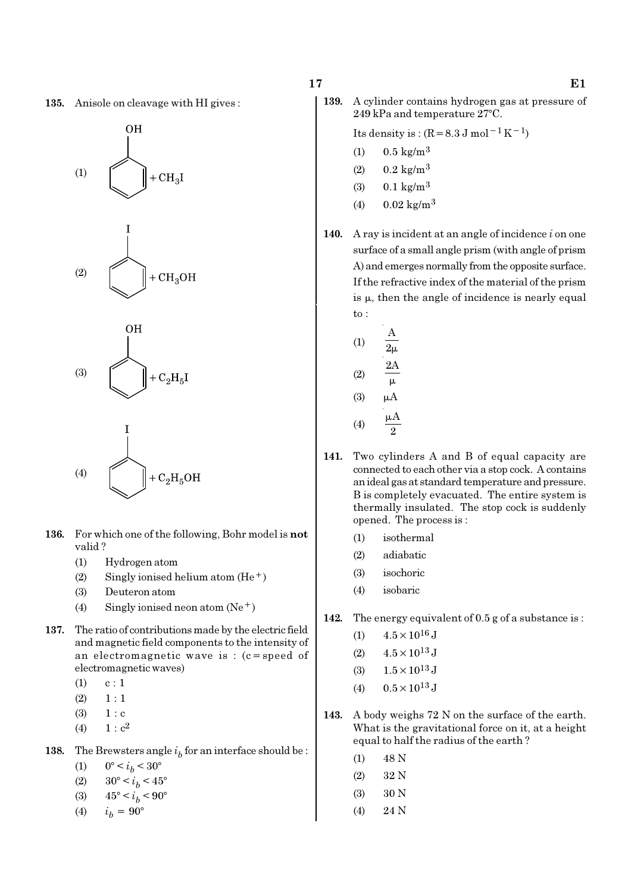





(4) 
$$
\left(\frac{1}{2} + C_2 H_5 O H\right)
$$

- 136. For which one of the following, Bohr model is not valid ?
	- (1) Hydrogen atom
	- (2) Singly ionised helium atom  $(He<sup>+</sup>)$
	- (3) Deuteron atom
	- (4) Singly ionised neon atom  $(Ne^+)$
- 137. The ratio of contributions made by the electric field and magnetic field components to the intensity of an electromagnetic wave is : (c=speed of electromagnetic waves)
	- $(1)$  c : 1
	- $(2) \quad 1:1$
	- $(3) 1 : c$
	- (4)  $1 : c^2$
- **138.** The Brewsters angle  $i<sub>b</sub>$  for an interface should be :
	- (1)  $0^{\circ} < i_b < 30^{\circ}$
	- (2)  $30^{\circ} < i_b < 45^{\circ}$
	- (3)  $45^{\circ} < i_b < 90^{\circ}$
	- (4)  $i_h = 90^{\circ}$

139. A cylinder contains hydrogen gas at pressure of 249 kPa and temperature 27°C.

Its density is :  $(R=8.3 \text{ J mol}^{-1}\text{ K}^{-1})$ 

- (1)  $0.5 \text{ kg/m}^3$
- $(2)$  0.2 kg/m<sup>3</sup>
- (3)  $0.1 \text{ kg/m}^3$
- (4)  $0.02 \text{ kg/m}^3$
- 140. A ray is incident at an angle of incidence  $i$  on one surface of a small angle prism (with angle of prism A) and emerges normally from the opposite surface. If the refractive index of the material of the prism is µ, then the angle of incidence is nearly equal to :

(1) 
$$
\frac{A}{2\mu}
$$
  
\n(2)  $\frac{2A}{\mu}$   
\n(3)  $\mu A$   
\n(4)  $\frac{\mu A}{2}$ 

- 141. Two cylinders A and B of equal capacity are connected to each other via a stop cock. A contains an ideal gas at standard temperature and pressure. B is completely evacuated. The entire system is thermally insulated. The stop cock is suddenly opened. The process is :
	- (1) isothermal
	- (2) adiabatic
	- (3) isochoric
	- (4) isobaric
- 142. The energy equivalent of 0.5 g of a substance is :
	- (1)  $4.5 \times 10^{16}$  J
	- (2)  $4.5 \times 10^{13}$  J
	- (3)  $1.5 \times 10^{13}$  J
	- (4)  $0.5 \times 10^{13}$  J
- 143. A body weighs 72 N on the surface of the earth. What is the gravitational force on it, at a height equal to half the radius of the earth ?
	- $(1)$  48 N
	- (2) 32 N
	- (3) 30 N
	- (4) 24 N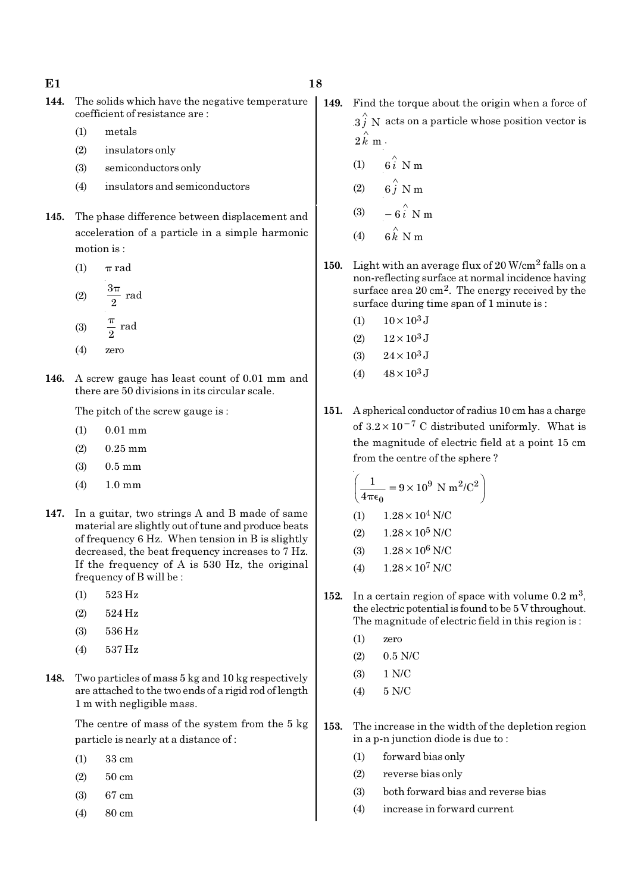- $E1$  18
- 144. The solids which have the negative temperature coefficient of resistance are :
	- (1) metals
	- (2) insulators only
	- (3) semiconductors only
	- (4) insulators and semiconductors
- 145. The phase difference between displacement and acceleration of a particle in a simple harmonic motion is :
	- (1)  $\pi$  rad  $3\pi$

(2) 
$$
\frac{3\pi}{2}
$$
 rad  
(3)  $\frac{\pi}{2}$  rad

- (4) zero
- 146. A screw gauge has least count of 0.01 mm and there are 50 divisions in its circular scale.

The pitch of the screw gauge is :

- (1) 0.01 mm
- $(2)$  0.25 mm
- (3) 0.5 mm
- (4) 1.0 mm
- 147. In a guitar, two strings A and B made of same material are slightly out of tune and produce beats of frequency 6 Hz. When tension in B is slightly decreased, the beat frequency increases to 7 Hz. If the frequency of A is 530 Hz, the original frequency of B will be :
	- (1) 523 Hz
	- (2) 524 Hz
	- (3) 536 Hz
	- (4) 537 Hz
- 148. Two particles of mass 5 kg and 10 kg respectively are attached to the two ends of a rigid rod of length 1 m with negligible mass.

The centre of mass of the system from the 5 kg particle is nearly at a distance of :

- (1) 33 cm
- (2) 50 cm
- (3) 67 cm
- (4) 80 cm
- 149. Find the torque about the origin when a force of  $3 \hat{j}$  N acts on a particle whose position vector is  $2 \hat{k}$  m.
	- (1)  $6i \stackrel{\wedge}{\smash{\wedge}} Nm$
	- (2)  $6\hat{j}$  N m
	- (3)  $-6\hat{i}$  N m
	- $(4)$ ∧
- 150. Light with an average flux of 20 W/cm2 falls on a non-reflecting surface at normal incidence having surface area 20 cm2. The energy received by the surface during time span of 1 minute is :
	- (1)  $10 \times 10^3$  J
	- (2)  $12 \times 10^3$  J
	- (3)  $24 \times 10^3$  J
	- (4)  $48 \times 10^3$  J
- 151. A spherical conductor of radius 10 cm has a charge of  $3.2 \times 10^{-7}$  C distributed uniformly. What is the magnitude of electric field at a point 15 cm from the centre of the sphere ?

$$
\left(\frac{1}{4\pi\epsilon_0} = 9 \times 10^9 \text{ N m}^2/\text{C}^2\right)
$$
  
(1) 1.28 × 10<sup>4</sup> N/C

- (2)  $1.28 \times 10^5$  N/C
- (3)  $1.28 \times 10^6$  N/C
- (4)  $1.28 \times 10^7$  N/C
- 152. In a certain region of space with volume  $0.2 \text{ m}^3$ , the electric potential is found to be 5 V throughout. The magnitude of electric field in this region is :
	- (1) zero
	- $(2)$  0.5 N/C
	- (3) 1 N/C
	- (4) 5 N/C
- 153. The increase in the width of the depletion region in a p-n junction diode is due to :
	- (1) forward bias only
	- (2) reverse bias only
	- (3) both forward bias and reverse bias
	- (4) increase in forward current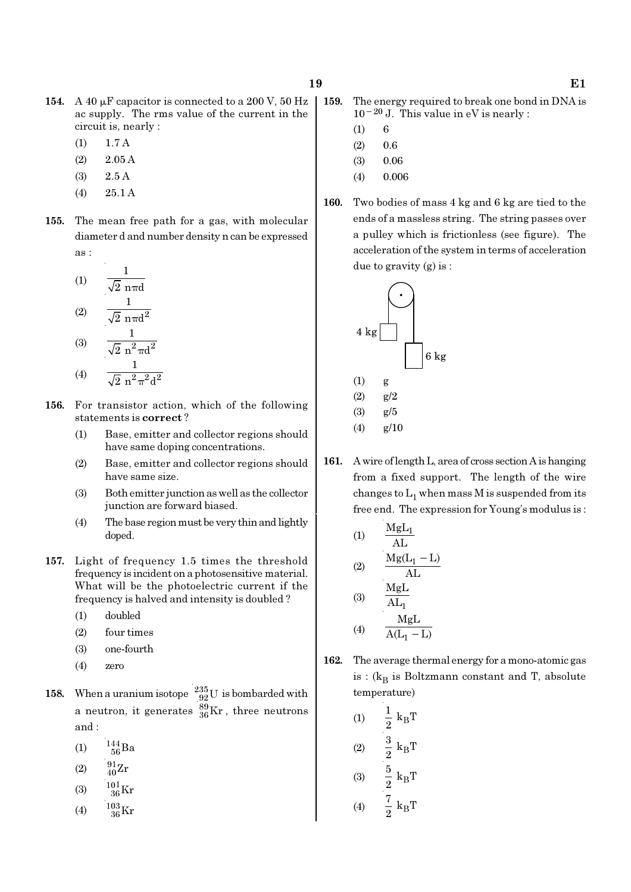- 154. A 40  $\mu$ F capacitor is connected to a 200 V, 50 Hz ac supply. The rms value of the current in the circuit is, nearly :
	- (1) 1.7 A
	- (2) 2.05 A
	- (3) 2.5 A
	- (4) 25.1 A
- 155. The mean free path for a gas, with molecular diameter d and number density n can be expressed as :

(1) 
$$
\frac{1}{\sqrt{2} \text{ n} \pi d}
$$
  
\n(2)  $\frac{1}{\sqrt{2} \text{ n} \pi d^2}$   
\n(3)  $\frac{1}{\sqrt{2} \text{ n}^2 \pi d^2}$   
\n(4)  $\frac{1}{\sqrt{2} \text{ n}^2 \pi^2 d^2}$ 

- 156. For transistor action, which of the following statements is correct ?
	- (1) Base, emitter and collector regions should have same doping concentrations.
	- (2) Base, emitter and collector regions should have same size.
	- (3) Both emitter junction as well as the collector junction are forward biased.
	- (4) The base region must be very thin and lightly doped.
- 157. Light of frequency 1.5 times the threshold frequency is incident on a photosensitive material. What will be the photoelectric current if the frequency is halved and intensity is doubled ?
	- (1) doubled
	- (2) four times
	- (3) one-fourth
	- (4) zero
- 158. When a uranium isotope  $\frac{235}{92}$ U is bombarded with a neutron, it generates  $^{89}_{36}\text{Kr}$  , three neutrons and :
	- (1)  $\frac{144}{56}Ba$
	- (2)  $\frac{91}{40}Zr$
	- (3)  $\frac{101}{36}$ Kr
	-
	- (4)  $\frac{103}{36}$ Kr
- 159. The energy required to break one bond in DNA is 10−20 J. This value in eV is nearly :
	- $(1) 6$
	- $(2)$  0.6
	- $(3)$  0.06
	- (4) 0.006
- 160. Two bodies of mass 4 kg and 6 kg are tied to the ends of a massless string. The string passes over a pulley which is frictionless (see figure). The acceleration of the system in terms of acceleration due to gravity (g) is :



161. A wire of length L, area of cross section A is hanging from a fixed support. The length of the wire changes to  $\mathrm{L}_1$  when mass M is suspended from its free end. The expression for Young's modulus is :

(1)  
\n
$$
\frac{MgL_1}{AL}
$$
\n(2)  
\n
$$
\frac{Mg(L_1 - L)}{AL}
$$
\n(3)  
\n
$$
\frac{MgL}{AL_1}
$$
\nMgL

$$
(4) \qquad \frac{M_{\rm B}L}{A(L_1 - L)}
$$

162. The average thermal energy for a mono-atomic gas is : ( $\rm{k_{B}}$  is Boltzmann constant and T, absolute temperature)

(1) 
$$
\frac{1}{2} k_{B}T
$$
  
\n(2)  $\frac{3}{2} k_{B}T$   
\n(3)  $\frac{5}{2} k_{B}T$   
\n(4)  $\frac{7}{2} k_{B}T$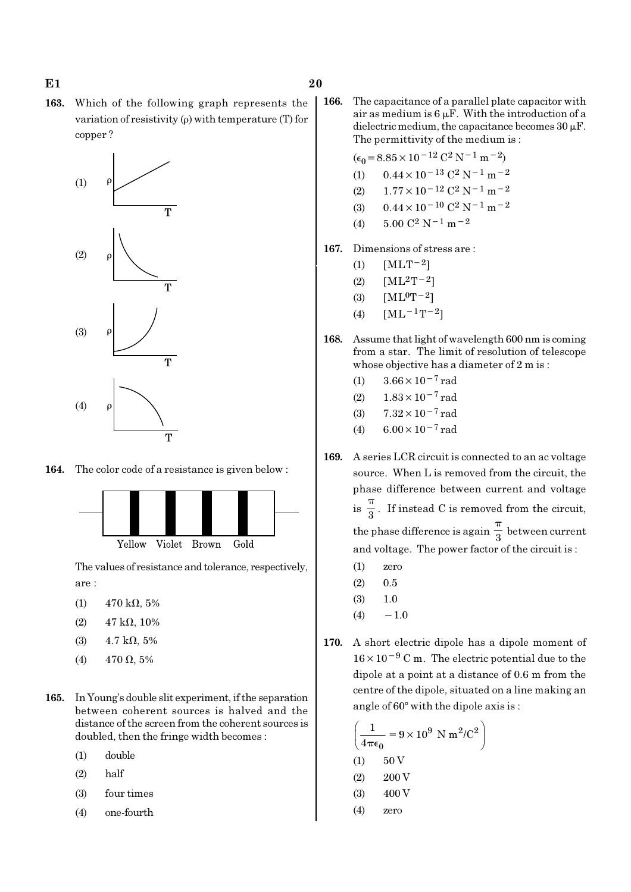163. Which of the following graph represents the variation of resistivity (ρ) with temperature (T) for copper ?



164. The color code of a resistance is given below :



The values of resistance and tolerance, respectively, are :

- (1)  $470 \text{ k}\Omega, 5\%$
- (2)  $47 \text{ k}\Omega$ , 10%
- (3)  $4.7 \text{ k}\Omega, 5\%$
- (4)  $470 \Omega, 5\%$
- 165. In Young's double slit experiment, if the separation between coherent sources is halved and the distance of the screen from the coherent sources is doubled, then the fringe width becomes :
	- (1) double
	- (2) half
	- (3) four times
	- (4) one-fourth

166. The capacitance of a parallel plate capacitor with air as medium is  $6 \mu$ F. With the introduction of a dielectric medium, the capacitance becomes  $30 \,\mathrm{\upmu F}$ . The permittivity of the medium is :

$$
(\epsilon_0 = 8.85 \times 10^{-12} \, \text{C}^2 \, \text{N}^{-1} \, \text{m}^{-2})
$$

- (1)  $0.44 \times 10^{-13}$  C<sup>2</sup> N<sup>-1</sup> m<sup>-2</sup>
- (2)  $1.77 \times 10^{-12}$  C<sup>2</sup> N<sup>-1</sup> m<sup>-2</sup>
- (3)  $0.44 \times 10^{-10}$  C<sup>2</sup> N<sup>-1</sup> m<sup>-2</sup>
- (4)  $5.00 \text{ C}^2 \text{ N}^{-1} \text{ m}^{-2}$
- 167. Dimensions of stress are :
	- (1)  $[MLT^{-2}]$
	- (2)  $[ML^2T^{-2}]$
	- (3)  $[ML^0T^{-2}]$
	- (4)  $[ML^{-1}T^{-2}]$
- 168. Assume that light of wavelength 600 nm is coming from a star. The limit of resolution of telescope whose objective has a diameter of 2 m is :
	- (1)  $3.66 \times 10^{-7}$  rad
	- (2)  $1.83 \times 10^{-7}$  rad
	- (3)  $7.32 \times 10^{-7}$  rad
	- (4) 6.00×10−7 rad
- 169. A series LCR circuit is connected to an ac voltage source. When L is removed from the circuit, the phase difference between current and voltage  $is \frac{1}{3}$ π . If instead C is removed from the circuit, the phase difference is again  $\frac{\pi}{3}$ π between current and voltage. The power factor of the circuit is :
	- (1) zero
	- $(2)$  0.5
	- (3) 1.0
	- $(4) -1.0$
- 170. A short electric dipole has a dipole moment of 16×10−<sup>9</sup> C m. The electric potential due to the dipole at a point at a distance of 0.6 m from the centre of the dipole, situated on a line making an angle of 60° with the dipole axis is :

$$
\left(\frac{1}{4\pi\epsilon_0} = 9 \times 10^9 \text{ N m}^2/\text{C}^2\right)
$$
  
(1) 50 V  
(2) 200 V  
(3) 400 V  
(4) zero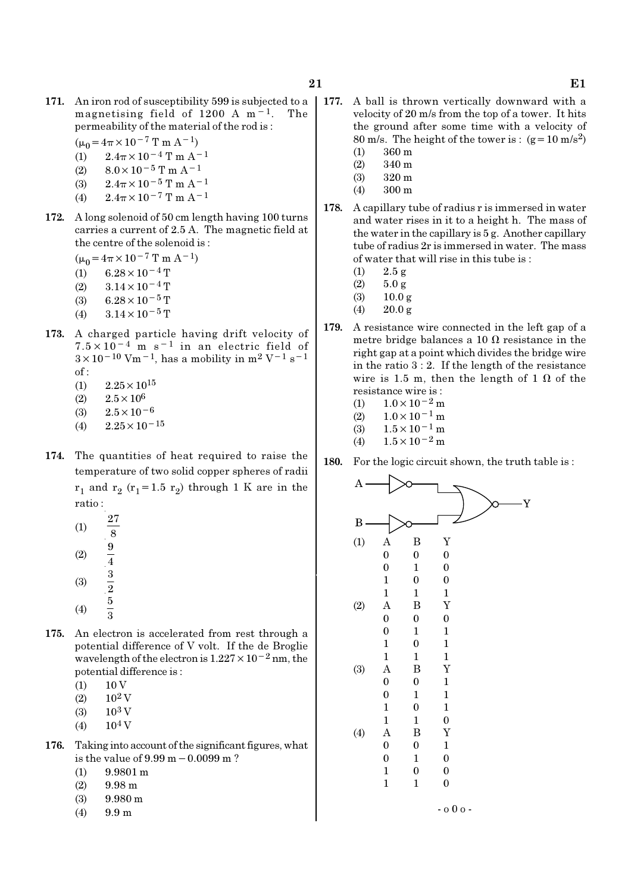- 171. An iron rod of susceptibility 599 is subjected to a magnetising field of 1200 A m−1. The permeability of the material of the rod is :
	- $(\mu_0 = 4\pi \times 10^{-7} \text{ T m A}^{-1})$
	- (1)  $2.4\pi \times 10^{-4}$  T m A<sup>-1</sup>
	- (2)  $8.0 \times 10^{-5}$  T m A<sup>-1</sup>
	- (3)  $2.4\pi \times 10^{-5}$  T m A<sup>-1</sup>
	- (4)  $2.4\pi \times 10^{-7}$  T m A<sup>-1</sup>
- 172. A long solenoid of 50 cm length having 100 turns carries a current of 2.5 A. The magnetic field at the centre of the solenoid is :
	- $(\mu_0=4\pi\times10^{-7}$  T m A<sup>-1</sup>)
	- $(1)$  6.28 × 10<sup>-4</sup> T
	- (2)  $3.14 \times 10^{-4}$  T
	- (3) 6.28 $\times$ 10<sup>-5</sup> T
	- (4)  $3.14 \times 10^{-5}$  T
- 173. A charged particle having drift velocity of  $7.5 \times 10^{-4}$  m s<sup>-1</sup> in an electric field of  $3 \times 10^{-10}$  Vm<sup>-1</sup>, has a mobility in m<sup>2</sup> V<sup>-1</sup> s<sup>-1</sup> of :
	- $(1)$  2.25  $\times$  10<sup>15</sup>
	- (2)  $2.5 \times 10^6$
	- (3)  $2.5 \times 10^{-6}$
	- $(4)$  2.25×10<sup>-15</sup>
- 174. The quantities of heat required to raise the temperature of two solid copper spheres of radii  $r_1$  and  $r_2$  ( $r_1$ =1.5  $r_2$ ) through 1 K are in the ratio :
	- (1) 27 8 (2)  $\frac{9}{4}$ (3)  $\frac{3}{2}$ (4) 5 3
- 175. An electron is accelerated from rest through a potential difference of V volt. If the de Broglie wavelength of the electron is 1.227×10−2 nm, the potential difference is :
	- $(1) 10 V$
	- $(2)$  10<sup>2</sup> V
	- $(3)$  10<sup>3</sup> V
	- $(4)$  10<sup>4</sup> V
- 176. Taking into account of the significant figures, what is the value of 9.99 m−0.0099 m ?
	- (1) 9.9801 m
	- $(2)$  9.98 m
	- (3) 9.980 m
	- (4) 9.9 m
- 177. A ball is thrown vertically downward with a velocity of 20 m/s from the top of a tower. It hits the ground after some time with a velocity of 80 m/s. The height of the tower is :  $(g=10 \text{ m/s}^2)$ 
	- (1) 360 m
	- (2) 340 m (3) 320 m
	- (4) 300 m
- 178. A capillary tube of radius r is immersed in water and water rises in it to a height h. The mass of the water in the capillary is 5 g. Another capillary tube of radius 2r is immersed in water. The mass of water that will rise in this tube is :
	- (1) 2.5 g
	- $(2)$  5.0 g
	- $(3)$  10.0 g
	- (4)  $20.0 \text{ g}$
- 179. A resistance wire connected in the left gap of a metre bridge balances a 10  $\Omega$  resistance in the right gap at a point which divides the bridge wire in the ratio 3 : 2. If the length of the resistance wire is 1.5 m, then the length of 1  $\Omega$  of the resistance wire is :
	- (1)  $1.0 \times 10^{-2}$  m
	- (2)  $1.0 \times 10^{-1}$  m
	- (3)  $1.5 \times 10^{-1}$  m
	- (4)  $1.5 \times 10^{-2}$  m
- 180. For the logic circuit shown, the truth table is :

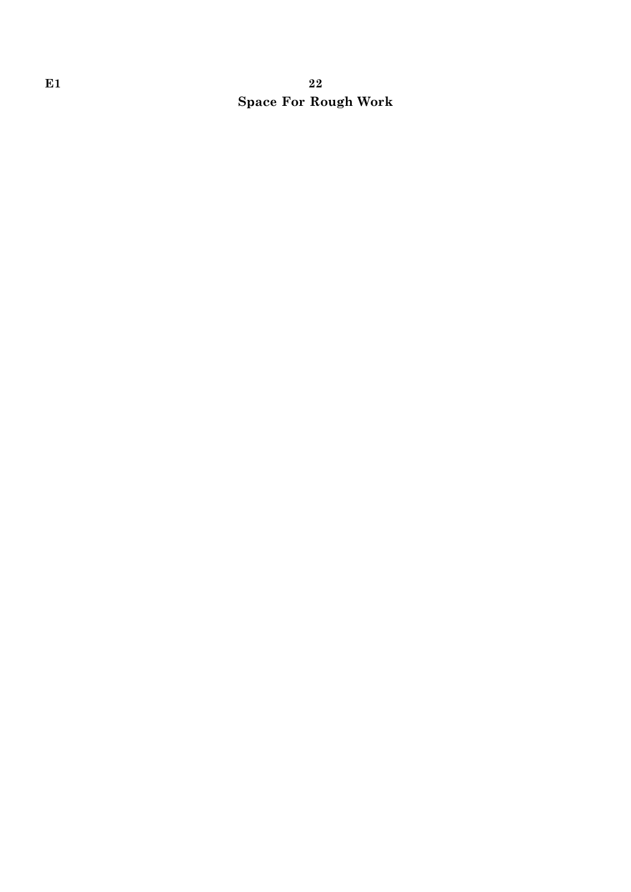# E1 22 Space For Rough Work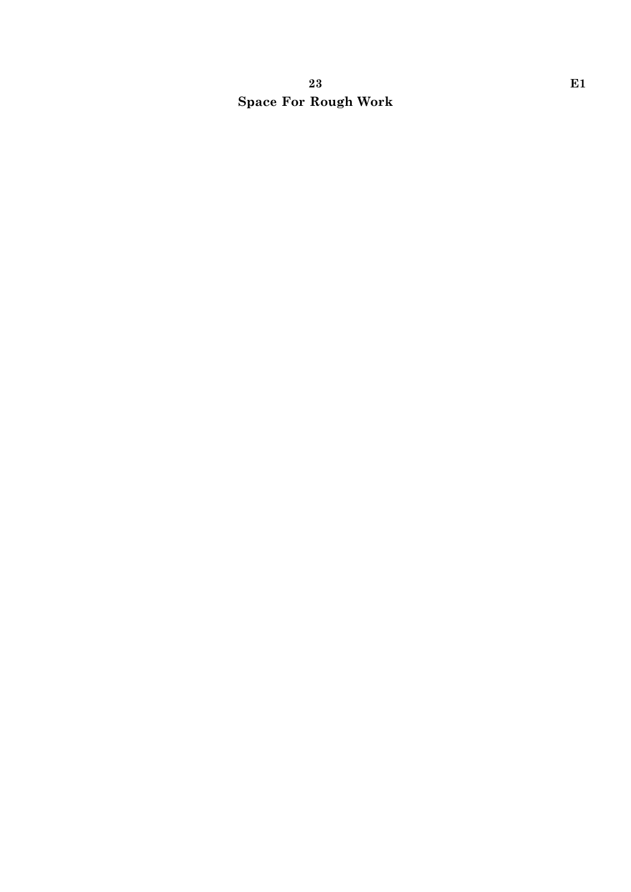# 23 E1 Space For Rough Work